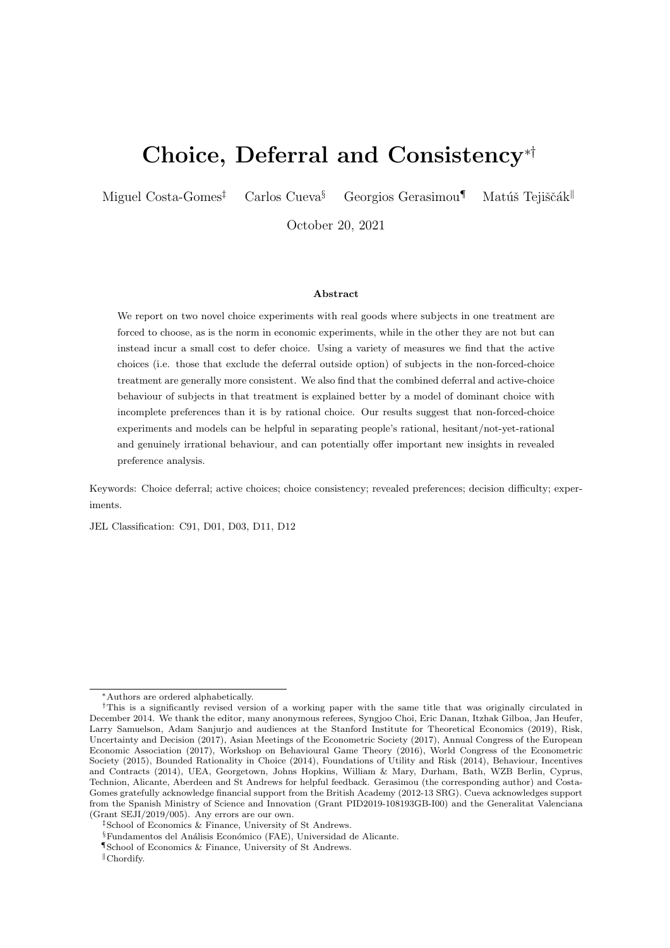# Choice, Deferral and Consistency∗†

Miguel Costa-Gomes<sup>‡</sup> Carlos Cueva<sup>§</sup> Georgios Gerasimou<sup>¶</sup> Matúš Tejiščák<sup>||</sup>

October 20, 2021

#### Abstract

We report on two novel choice experiments with real goods where subjects in one treatment are forced to choose, as is the norm in economic experiments, while in the other they are not but can instead incur a small cost to defer choice. Using a variety of measures we find that the active choices (i.e. those that exclude the deferral outside option) of subjects in the non-forced-choice treatment are generally more consistent. We also find that the combined deferral and active-choice behaviour of subjects in that treatment is explained better by a model of dominant choice with incomplete preferences than it is by rational choice. Our results suggest that non-forced-choice experiments and models can be helpful in separating people's rational, hesitant/not-yet-rational and genuinely irrational behaviour, and can potentially offer important new insights in revealed preference analysis.

Keywords: Choice deferral; active choices; choice consistency; revealed preferences; decision difficulty; experiments.

JEL Classification: C91, D01, D03, D11, D12

<sup>∗</sup>Authors are ordered alphabetically.

<sup>†</sup>This is a significantly revised version of a working paper with the same title that was originally circulated in December 2014. We thank the editor, many anonymous referees, Syngjoo Choi, Eric Danan, Itzhak Gilboa, Jan Heufer, Larry Samuelson, Adam Sanjurjo and audiences at the Stanford Institute for Theoretical Economics (2019), Risk, Uncertainty and Decision (2017), Asian Meetings of the Econometric Society (2017), Annual Congress of the European Economic Association (2017), Workshop on Behavioural Game Theory (2016), World Congress of the Econometric Society (2015), Bounded Rationality in Choice (2014), Foundations of Utility and Risk (2014), Behaviour, Incentives and Contracts (2014), UEA, Georgetown, Johns Hopkins, William & Mary, Durham, Bath, WZB Berlin, Cyprus, Technion, Alicante, Aberdeen and St Andrews for helpful feedback. Gerasimou (the corresponding author) and Costa-Gomes gratefully acknowledge financial support from the British Academy (2012-13 SRG). Cueva acknowledges support from the Spanish Ministry of Science and Innovation (Grant PID2019-108193GB-I00) and the Generalitat Valenciana (Grant SEJI/2019/005). Any errors are our own.

<sup>‡</sup>School of Economics & Finance, University of St Andrews.

 $\S$ Fundamentos del Análisis Económico (FAE), Universidad de Alicante.

<sup>¶</sup>School of Economics & Finance, University of St Andrews.

 $\mathbb{C}$ chordify.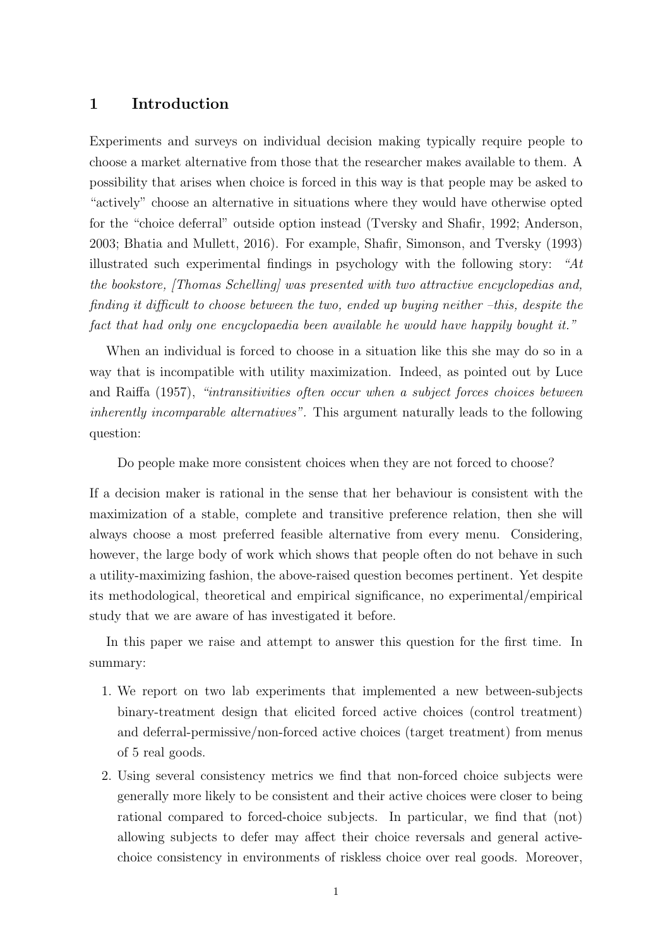## 1 Introduction

Experiments and surveys on individual decision making typically require people to choose a market alternative from those that the researcher makes available to them. A possibility that arises when choice is forced in this way is that people may be asked to "actively" choose an alternative in situations where they would have otherwise opted for the "choice deferral" outside option instead [\(Tversky and Shafir, 1992;](#page-24-0) [Anderson,](#page-23-0) [2003;](#page-23-0) [Bhatia and Mullett, 2016\)](#page-23-1). For example, [Shafir, Simonson, and Tversky](#page-24-1) [\(1993\)](#page-24-1) illustrated such experimental findings in psychology with the following story: "At the bookstore, [Thomas Schelling] was presented with two attractive encyclopedias and, finding it difficult to choose between the two, ended up buying neither –this, despite the fact that had only one encyclopaedia been available he would have happily bought it."

When an individual is forced to choose in a situation like this she may do so in a way that is incompatible with utility maximization. Indeed, as pointed out by [Luce](#page-24-2) [and Raiffa](#page-24-2) [\(1957\)](#page-24-2), "intransitivities often occur when a subject forces choices between inherently incomparable alternatives". This argument naturally leads to the following question:

Do people make more consistent choices when they are not forced to choose?

If a decision maker is rational in the sense that her behaviour is consistent with the maximization of a stable, complete and transitive preference relation, then she will always choose a most preferred feasible alternative from every menu. Considering, however, the large body of work which shows that people often do not behave in such a utility-maximizing fashion, the above-raised question becomes pertinent. Yet despite its methodological, theoretical and empirical significance, no experimental/empirical study that we are aware of has investigated it before.

In this paper we raise and attempt to answer this question for the first time. In summary:

- 1. We report on two lab experiments that implemented a new between-subjects binary-treatment design that elicited forced active choices (control treatment) and deferral-permissive/non-forced active choices (target treatment) from menus of 5 real goods.
- 2. Using several consistency metrics we find that non-forced choice subjects were generally more likely to be consistent and their active choices were closer to being rational compared to forced-choice subjects. In particular, we find that (not) allowing subjects to defer may affect their choice reversals and general activechoice consistency in environments of riskless choice over real goods. Moreover,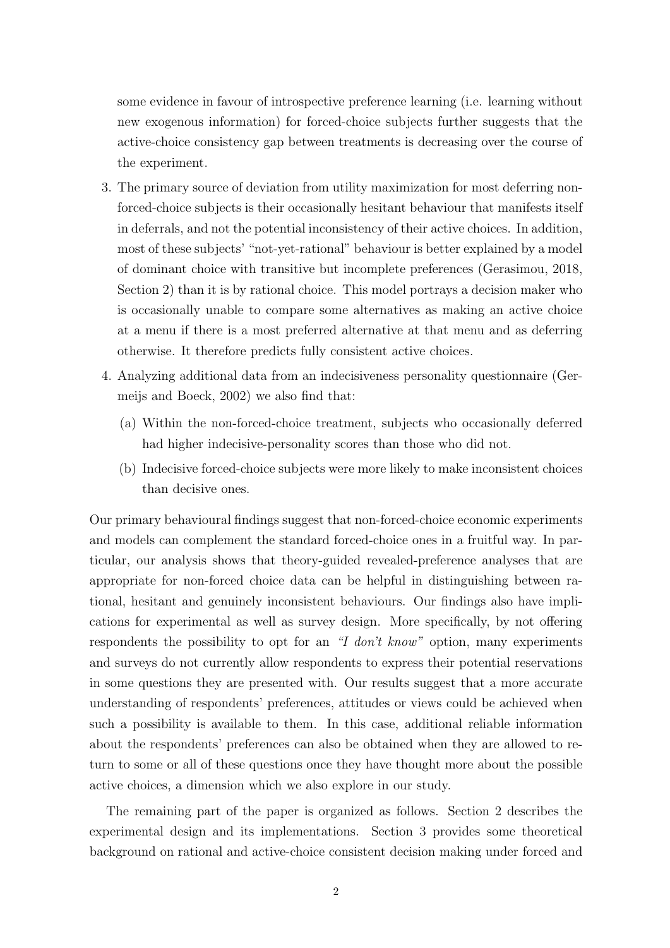some evidence in favour of introspective preference learning (i.e. learning without new exogenous information) for forced-choice subjects further suggests that the active-choice consistency gap between treatments is decreasing over the course of the experiment.

- 3. The primary source of deviation from utility maximization for most deferring nonforced-choice subjects is their occasionally hesitant behaviour that manifests itself in deferrals, and not the potential inconsistency of their active choices. In addition, most of these subjects' "not-yet-rational" behaviour is better explained by a model of dominant choice with transitive but incomplete preferences (Gerasimou, [2018,](#page-24-3) Section 2) than it is by rational choice. This model portrays a decision maker who is occasionally unable to compare some alternatives as making an active choice at a menu if there is a most preferred alternative at that menu and as deferring otherwise. It therefore predicts fully consistent active choices.
- 4. Analyzing additional data from an indecisiveness personality questionnaire [\(Ger](#page-24-4)[meijs and Boeck, 2002\)](#page-24-4) we also find that:
	- (a) Within the non-forced-choice treatment, subjects who occasionally deferred had higher indecisive-personality scores than those who did not.
	- (b) Indecisive forced-choice subjects were more likely to make inconsistent choices than decisive ones.

Our primary behavioural findings suggest that non-forced-choice economic experiments and models can complement the standard forced-choice ones in a fruitful way. In particular, our analysis shows that theory-guided revealed-preference analyses that are appropriate for non-forced choice data can be helpful in distinguishing between rational, hesitant and genuinely inconsistent behaviours. Our findings also have implications for experimental as well as survey design. More specifically, by not offering respondents the possibility to opt for an "I don't know" option, many experiments and surveys do not currently allow respondents to express their potential reservations in some questions they are presented with. Our results suggest that a more accurate understanding of respondents' preferences, attitudes or views could be achieved when such a possibility is available to them. In this case, additional reliable information about the respondents' preferences can also be obtained when they are allowed to return to some or all of these questions once they have thought more about the possible active choices, a dimension which we also explore in our study.

The remaining part of the paper is organized as follows. Section 2 describes the experimental design and its implementations. Section 3 provides some theoretical background on rational and active-choice consistent decision making under forced and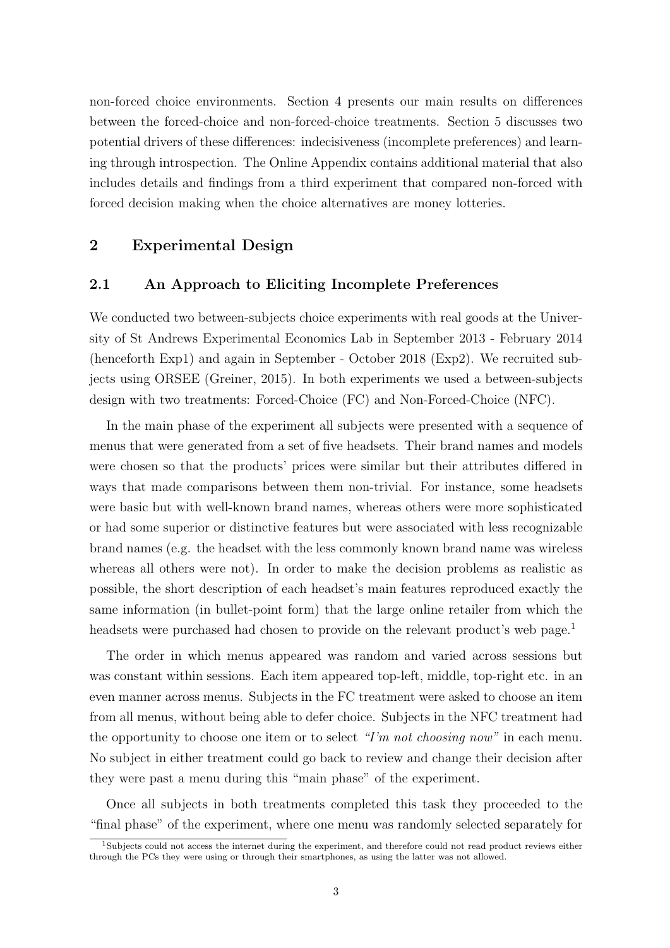non-forced choice environments. Section 4 presents our main results on differences between the forced-choice and non-forced-choice treatments. Section 5 discusses two potential drivers of these differences: indecisiveness (incomplete preferences) and learning through introspection. The Online Appendix contains additional material that also includes details and findings from a third experiment that compared non-forced with forced decision making when the choice alternatives are money lotteries.

# 2 Experimental Design

### 2.1 An Approach to Eliciting Incomplete Preferences

We conducted two between-subjects choice experiments with real goods at the University of St Andrews Experimental Economics Lab in September 2013 - February 2014 (henceforth Exp1) and again in September - October 2018 (Exp2). We recruited subjects using ORSEE [\(Greiner, 2015\)](#page-24-5). In both experiments we used a between-subjects design with two treatments: Forced-Choice (FC) and Non-Forced-Choice (NFC).

In the main phase of the experiment all subjects were presented with a sequence of menus that were generated from a set of five headsets. Their brand names and models were chosen so that the products' prices were similar but their attributes differed in ways that made comparisons between them non-trivial. For instance, some headsets were basic but with well-known brand names, whereas others were more sophisticated or had some superior or distinctive features but were associated with less recognizable brand names (e.g. the headset with the less commonly known brand name was wireless whereas all others were not). In order to make the decision problems as realistic as possible, the short description of each headset's main features reproduced exactly the same information (in bullet-point form) that the large online retailer from which the headsets were purchased had chosen to provide on the relevant product's web page.<sup>[1](#page-3-0)</sup>

The order in which menus appeared was random and varied across sessions but was constant within sessions. Each item appeared top-left, middle, top-right etc. in an even manner across menus. Subjects in the FC treatment were asked to choose an item from all menus, without being able to defer choice. Subjects in the NFC treatment had the opportunity to choose one item or to select "I'm not choosing now" in each menu. No subject in either treatment could go back to review and change their decision after they were past a menu during this "main phase" of the experiment.

Once all subjects in both treatments completed this task they proceeded to the "final phase" of the experiment, where one menu was randomly selected separately for

<span id="page-3-0"></span><sup>&</sup>lt;sup>1</sup>Subjects could not access the internet during the experiment, and therefore could not read product reviews either through the PCs they were using or through their smartphones, as using the latter was not allowed.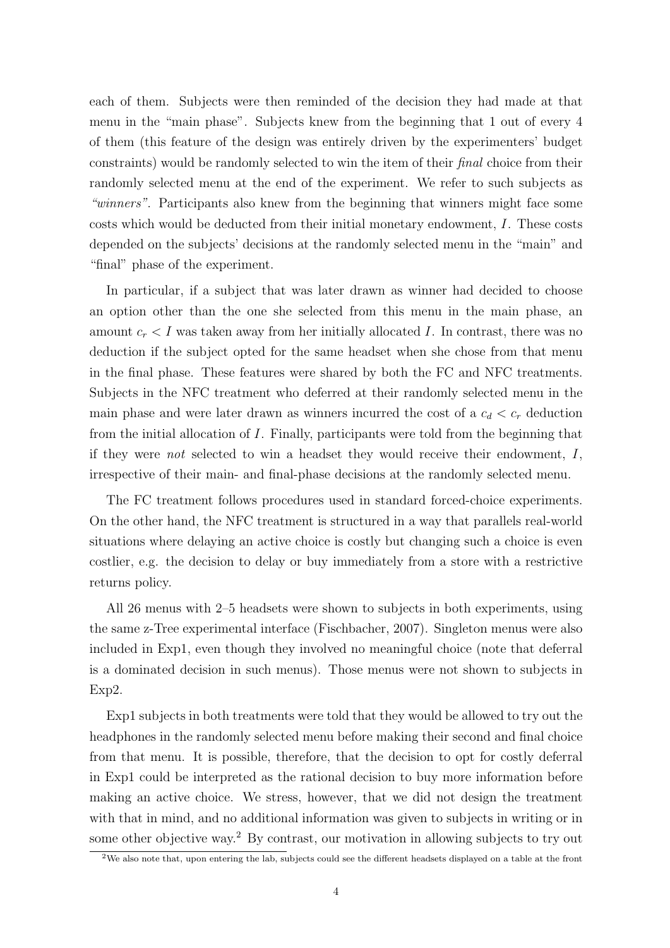each of them. Subjects were then reminded of the decision they had made at that menu in the "main phase". Subjects knew from the beginning that 1 out of every 4 of them (this feature of the design was entirely driven by the experimenters' budget constraints) would be randomly selected to win the item of their final choice from their randomly selected menu at the end of the experiment. We refer to such subjects as "winners". Participants also knew from the beginning that winners might face some costs which would be deducted from their initial monetary endowment, I. These costs depended on the subjects' decisions at the randomly selected menu in the "main" and "final" phase of the experiment.

In particular, if a subject that was later drawn as winner had decided to choose an option other than the one she selected from this menu in the main phase, an amount  $c_r < I$  was taken away from her initially allocated I. In contrast, there was no deduction if the subject opted for the same headset when she chose from that menu in the final phase. These features were shared by both the FC and NFC treatments. Subjects in the NFC treatment who deferred at their randomly selected menu in the main phase and were later drawn as winners incurred the cost of a  $c_d < c_r$  deduction from the initial allocation of I. Finally, participants were told from the beginning that if they were not selected to win a headset they would receive their endowment, I, irrespective of their main- and final-phase decisions at the randomly selected menu.

The FC treatment follows procedures used in standard forced-choice experiments. On the other hand, the NFC treatment is structured in a way that parallels real-world situations where delaying an active choice is costly but changing such a choice is even costlier, e.g. the decision to delay or buy immediately from a store with a restrictive returns policy.

All 26 menus with 2–5 headsets were shown to subjects in both experiments, using the same z-Tree experimental interface [\(Fischbacher, 2007\)](#page-24-6). Singleton menus were also included in Exp1, even though they involved no meaningful choice (note that deferral is a dominated decision in such menus). Those menus were not shown to subjects in Exp2.

Exp1 subjects in both treatments were told that they would be allowed to try out the headphones in the randomly selected menu before making their second and final choice from that menu. It is possible, therefore, that the decision to opt for costly deferral in Exp1 could be interpreted as the rational decision to buy more information before making an active choice. We stress, however, that we did not design the treatment with that in mind, and no additional information was given to subjects in writing or in some other objective way.<sup>[2](#page-4-0)</sup> By contrast, our motivation in allowing subjects to try out

<span id="page-4-0"></span> $2$ We also note that, upon entering the lab, subjects could see the different headsets displayed on a table at the front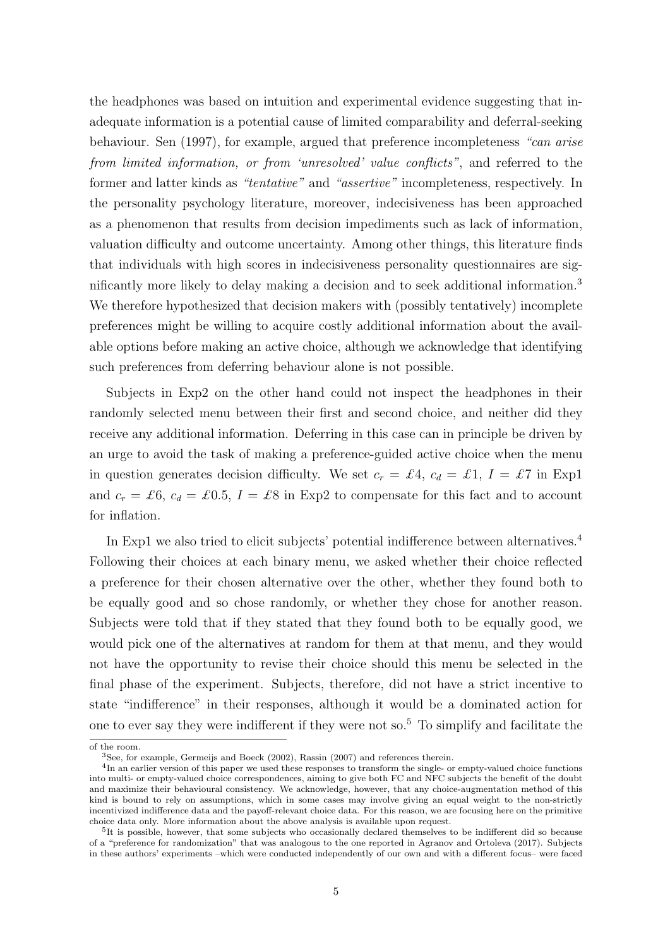the headphones was based on intuition and experimental evidence suggesting that inadequate information is a potential cause of limited comparability and deferral-seeking behaviour. [Sen](#page-24-7) [\(1997\)](#page-24-7), for example, argued that preference incompleteness "can arise from limited information, or from 'unresolved' value conflicts", and referred to the former and latter kinds as "*tentative*" and "*assertive*" incompleteness, respectively. In the personality psychology literature, moreover, indecisiveness has been approached as a phenomenon that results from decision impediments such as lack of information, valuation difficulty and outcome uncertainty. Among other things, this literature finds that individuals with high scores in indecisiveness personality questionnaires are significantly more likely to delay making a decision and to seek additional information.[3](#page-5-0) We therefore hypothesized that decision makers with (possibly tentatively) incomplete preferences might be willing to acquire costly additional information about the available options before making an active choice, although we acknowledge that identifying such preferences from deferring behaviour alone is not possible.

Subjects in Exp2 on the other hand could not inspect the headphones in their randomly selected menu between their first and second choice, and neither did they receive any additional information. Deferring in this case can in principle be driven by an urge to avoid the task of making a preference-guided active choice when the menu in question generates decision difficulty. We set  $c_r = \pounds 4$ ,  $c_d = \pounds 1$ ,  $I = \pounds 7$  in Exp1 and  $c_r = \pounds 6$ ,  $c_d = \pounds 0.5$ ,  $I = \pounds 8$  in Exp2 to compensate for this fact and to account for inflation.

In Exp1 we also tried to elicit subjects' potential indifference between alternatives.<sup>[4](#page-5-1)</sup> Following their choices at each binary menu, we asked whether their choice reflected a preference for their chosen alternative over the other, whether they found both to be equally good and so chose randomly, or whether they chose for another reason. Subjects were told that if they stated that they found both to be equally good, we would pick one of the alternatives at random for them at that menu, and they would not have the opportunity to revise their choice should this menu be selected in the final phase of the experiment. Subjects, therefore, did not have a strict incentive to state "indifference" in their responses, although it would be a dominated action for one to ever say they were indifferent if they were not so.<sup>[5](#page-5-2)</sup> To simplify and facilitate the

of the room.

<span id="page-5-1"></span><span id="page-5-0"></span><sup>3</sup>See, for example, [Germeijs and Boeck](#page-24-4) [\(2002\)](#page-24-4), [Rassin](#page-24-8) [\(2007\)](#page-24-8) and references therein.

<sup>&</sup>lt;sup>4</sup>In an earlier version of this paper we used these responses to transform the single- or empty-valued choice functions into multi- or empty-valued choice correspondences, aiming to give both FC and NFC subjects the benefit of the doubt and maximize their behavioural consistency. We acknowledge, however, that any choice-augmentation method of this kind is bound to rely on assumptions, which in some cases may involve giving an equal weight to the non-strictly incentivized indifference data and the payoff-relevant choice data. For this reason, we are focusing here on the primitive choice data only. More information about the above analysis is available upon request.

<span id="page-5-2"></span><sup>&</sup>lt;sup>5</sup>It is possible, however, that some subjects who occasionally declared themselves to be indifferent did so because of a "preference for randomization" that was analogous to the one reported in [Agranov and Ortoleva](#page-22-0) [\(2017\)](#page-22-0). Subjects in these authors' experiments –which were conducted independently of our own and with a different focus– were faced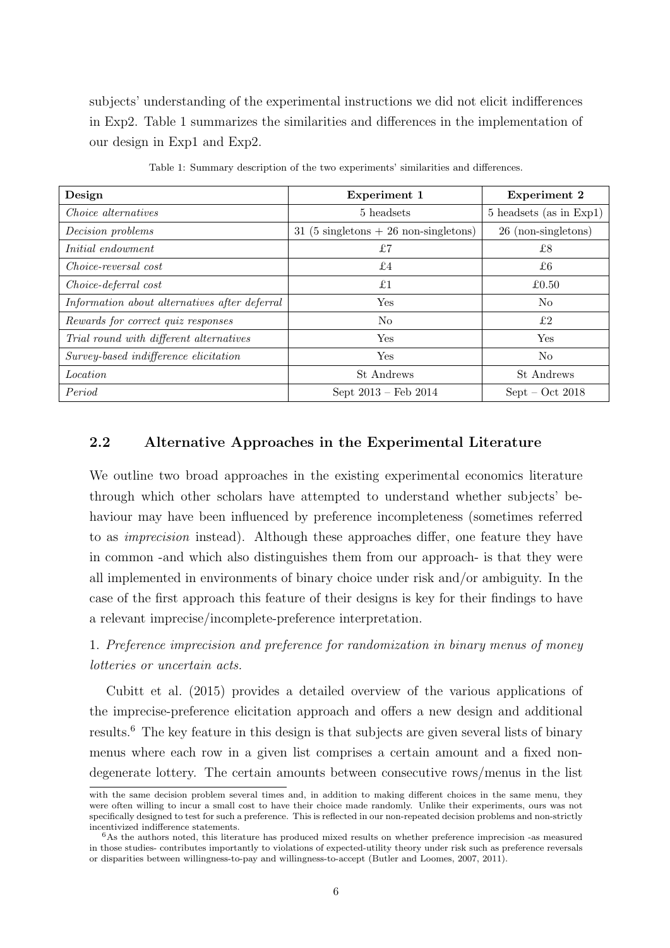subjects' understanding of the experimental instructions we did not elicit indifferences in Exp2. Table [1](#page-6-0) summarizes the similarities and differences in the implementation of our design in Exp1 and Exp2.

<span id="page-6-0"></span>

| Design                                        | Experiment 1                           | <b>Experiment 2</b>     |
|-----------------------------------------------|----------------------------------------|-------------------------|
| Choice alternatives                           | 5 headsets                             | 5 headsets (as in Exp1) |
| Decision problems                             | 31 (5 singletons $+26$ non-singletons) | 26 (non-singletons)     |
| Initial endowment                             | £7                                     | £8                      |
| Choice-reversal cost                          | £4                                     | £6                      |
| Choice-deferral cost                          | £1                                     | £0.50                   |
| Information about alternatives after deferral | Yes                                    | N <sub>o</sub>          |
| Rewards for correct quiz responses            | N <sub>o</sub>                         | £2                      |
| Trial round with different alternatives       | Yes                                    | Yes                     |
| Survey-based indifference elicitation         | Yes                                    | N <sub>o</sub>          |
| <i>Location</i>                               | St. Andrews                            | St Andrews              |
| Period                                        | Sept $2013 -$ Feb $2014$               | $Sept - Oct 2018$       |

Table 1: Summary description of the two experiments' similarities and differences.

# 2.2 Alternative Approaches in the Experimental Literature

We outline two broad approaches in the existing experimental economics literature through which other scholars have attempted to understand whether subjects' behaviour may have been influenced by preference incompleteness (sometimes referred to as imprecision instead). Although these approaches differ, one feature they have in common -and which also distinguishes them from our approach- is that they were all implemented in environments of binary choice under risk and/or ambiguity. In the case of the first approach this feature of their designs is key for their findings to have a relevant imprecise/incomplete-preference interpretation.

# 1. Preference imprecision and preference for randomization in binary menus of money lotteries or uncertain acts.

[Cubitt et al.](#page-23-2) [\(2015\)](#page-23-2) provides a detailed overview of the various applications of the imprecise-preference elicitation approach and offers a new design and additional results.[6](#page-6-1) The key feature in this design is that subjects are given several lists of binary menus where each row in a given list comprises a certain amount and a fixed nondegenerate lottery. The certain amounts between consecutive rows/menus in the list

with the same decision problem several times and, in addition to making different choices in the same menu, they were often willing to incur a small cost to have their choice made randomly. Unlike their experiments, ours was not specifically designed to test for such a preference. This is reflected in our non-repeated decision problems and non-strictly incentivized indifference statements.

<span id="page-6-1"></span><sup>6</sup>As the authors noted, this literature has produced mixed results on whether preference imprecision -as measured in those studies- contributes importantly to violations of expected-utility theory under risk such as preference reversals or disparities between willingness-to-pay and willingness-to-accept [\(Butler and Loomes, 2007,](#page-23-3) [2011\)](#page-23-4).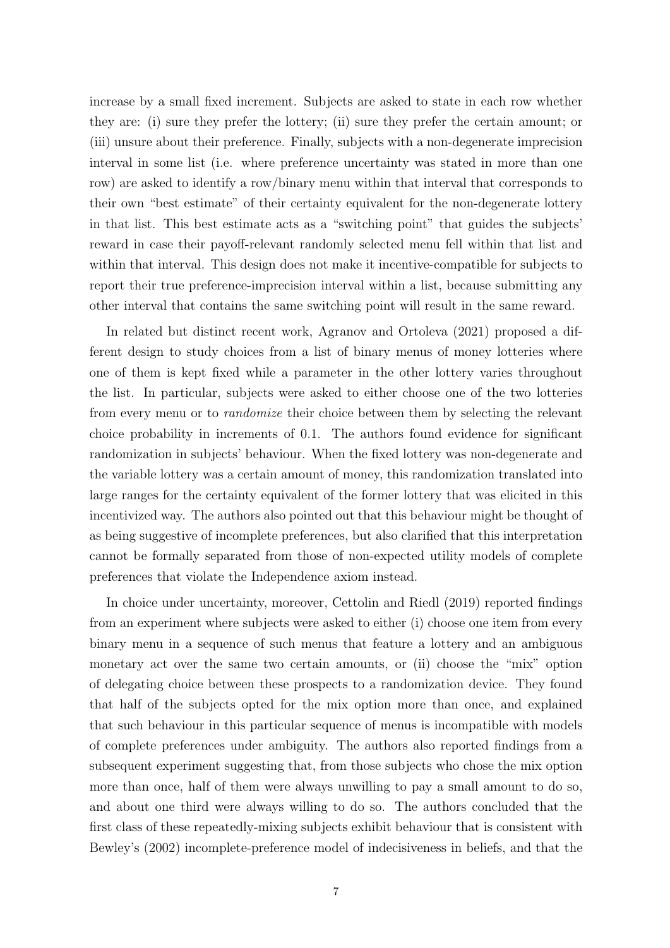increase by a small fixed increment. Subjects are asked to state in each row whether they are: (i) sure they prefer the lottery; (ii) sure they prefer the certain amount; or (iii) unsure about their preference. Finally, subjects with a non-degenerate imprecision interval in some list (i.e. where preference uncertainty was stated in more than one row) are asked to identify a row/binary menu within that interval that corresponds to their own "best estimate" of their certainty equivalent for the non-degenerate lottery in that list. This best estimate acts as a "switching point" that guides the subjects' reward in case their payoff-relevant randomly selected menu fell within that list and within that interval. This design does not make it incentive-compatible for subjects to report their true preference-imprecision interval within a list, because submitting any other interval that contains the same switching point will result in the same reward.

In related but distinct recent work, [Agranov and Ortoleva](#page-22-1) [\(2021\)](#page-22-1) proposed a different design to study choices from a list of binary menus of money lotteries where one of them is kept fixed while a parameter in the other lottery varies throughout the list. In particular, subjects were asked to either choose one of the two lotteries from every menu or to randomize their choice between them by selecting the relevant choice probability in increments of 0.1. The authors found evidence for significant randomization in subjects' behaviour. When the fixed lottery was non-degenerate and the variable lottery was a certain amount of money, this randomization translated into large ranges for the certainty equivalent of the former lottery that was elicited in this incentivized way. The authors also pointed out that this behaviour might be thought of as being suggestive of incomplete preferences, but also clarified that this interpretation cannot be formally separated from those of non-expected utility models of complete preferences that violate the Independence axiom instead.

In choice under uncertainty, moreover, [Cettolin and Riedl](#page-23-5) [\(2019\)](#page-23-5) reported findings from an experiment where subjects were asked to either (i) choose one item from every binary menu in a sequence of such menus that feature a lottery and an ambiguous monetary act over the same two certain amounts, or (ii) choose the "mix" option of delegating choice between these prospects to a randomization device. They found that half of the subjects opted for the mix option more than once, and explained that such behaviour in this particular sequence of menus is incompatible with models of complete preferences under ambiguity. The authors also reported findings from a subsequent experiment suggesting that, from those subjects who chose the mix option more than once, half of them were always unwilling to pay a small amount to do so, and about one third were always willing to do so. The authors concluded that the first class of these repeatedly-mixing subjects exhibit behaviour that is consistent with Bewley's [\(2002\)](#page-23-6) incomplete-preference model of indecisiveness in beliefs, and that the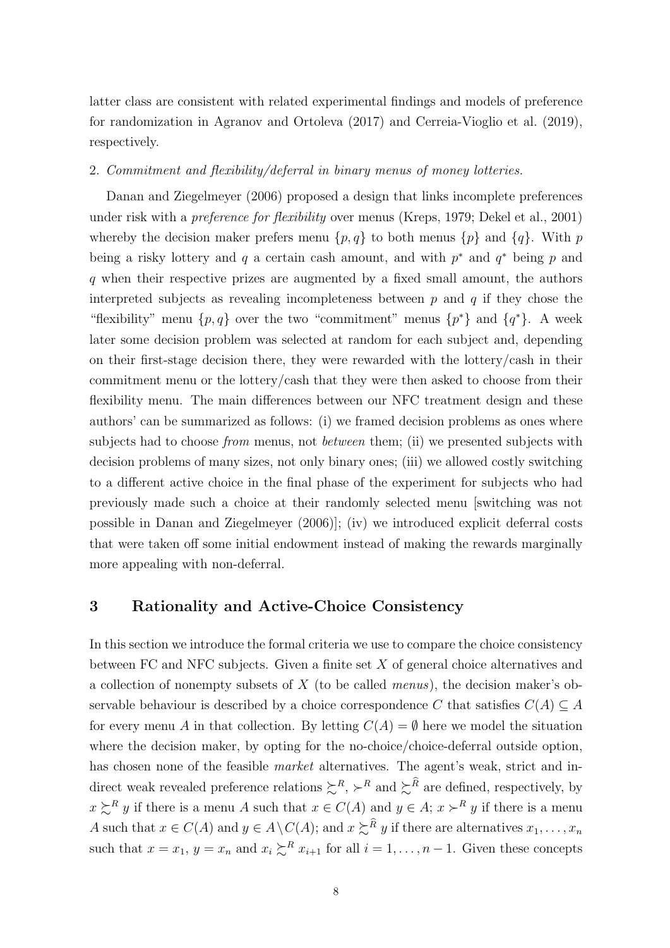latter class are consistent with related experimental findings and models of preference for randomization in [Agranov and Ortoleva](#page-22-0) [\(2017\)](#page-22-0) and [Cerreia-Vioglio et al.](#page-23-7) [\(2019\)](#page-23-7), respectively.

#### 2. Commitment and flexibility/deferral in binary menus of money lotteries.

[Danan and Ziegelmeyer](#page-23-8) [\(2006\)](#page-23-8) proposed a design that links incomplete preferences under risk with a *preference for flexibility* over menus (Kreps, [1979;](#page-24-9) Dekel et al., [2001\)](#page-23-9) whereby the decision maker prefers menu  $\{p, q\}$  to both menus  $\{p\}$  and  $\{q\}$ . With p being a risky lottery and q a certain cash amount, and with  $p^*$  and  $q^*$  being p and q when their respective prizes are augmented by a fixed small amount, the authors interpreted subjects as revealing incompleteness between  $p$  and  $q$  if they chose the "flexibility" menu  $\{p, q\}$  over the two "commitment" menus  $\{p^*\}$  and  $\{q^*\}$ . A week later some decision problem was selected at random for each subject and, depending on their first-stage decision there, they were rewarded with the lottery/cash in their commitment menu or the lottery/cash that they were then asked to choose from their flexibility menu. The main differences between our NFC treatment design and these authors' can be summarized as follows: (i) we framed decision problems as ones where subjects had to choose *from* menus, not *between* them; (ii) we presented subjects with decision problems of many sizes, not only binary ones; (iii) we allowed costly switching to a different active choice in the final phase of the experiment for subjects who had previously made such a choice at their randomly selected menu [switching was not possible in Danan and Ziegelmeyer (2006)]; (iv) we introduced explicit deferral costs that were taken off some initial endowment instead of making the rewards marginally more appealing with non-deferral.

## 3 Rationality and Active-Choice Consistency

In this section we introduce the formal criteria we use to compare the choice consistency between FC and NFC subjects. Given a finite set  $X$  of general choice alternatives and a collection of nonempty subsets of  $X$  (to be called *menus*), the decision maker's observable behaviour is described by a choice correspondence C that satisfies  $C(A) \subseteq A$ for every menu A in that collection. By letting  $C(A) = \emptyset$  here we model the situation where the decision maker, by opting for the no-choice/choice-deferral outside option, has chosen none of the feasible *market* alternatives. The agent's weak, strict and indirect weak revealed preference relations  $\sum^{R} \nightharpoonup^{R}$  and  $\sum^{\widehat{R}}$  are defined, respectively, by  $x \succeq^{R} y$  if there is a menu A such that  $x \in C(A)$  and  $y \in A$ ;  $x \succ^{R} y$  if there is a menu A such that  $x \in C(A)$  and  $y \in A \setminus C(A)$ ; and  $x \succcurlyeq^{\widehat{R}} y$  if there are alternatives  $x_1, \ldots, x_n$ such that  $x = x_1$ ,  $y = x_n$  and  $x_i \succsim^R x_{i+1}$  for all  $i = 1, ..., n-1$ . Given these concepts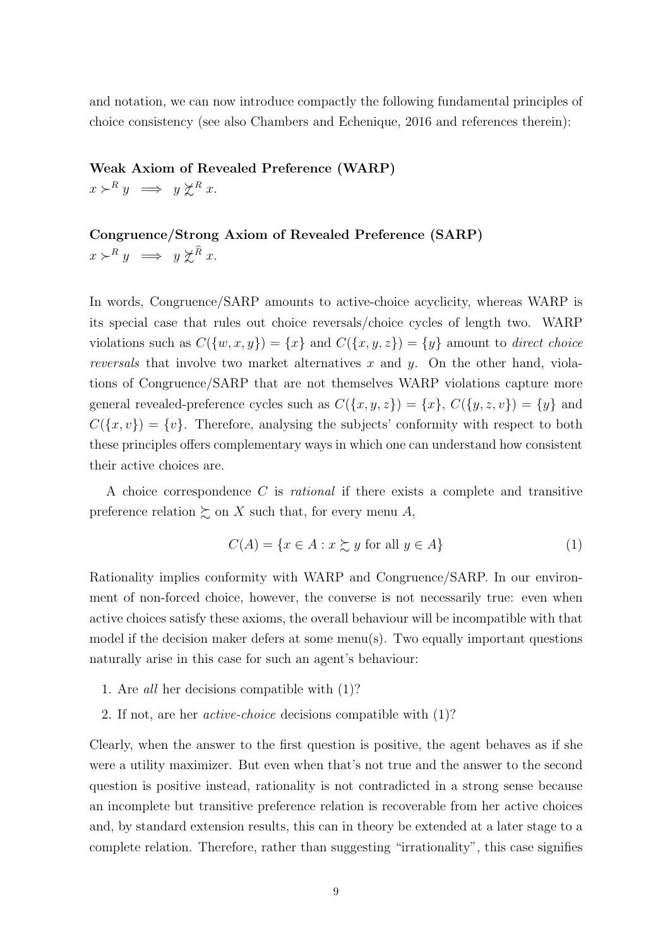and notation, we can now introduce compactly the following fundamental principles of choice consistency (see also Chambers and Echenique, [2016](#page-23-10) and references therein):

#### Weak Axiom of Revealed Preference (WARP)

 $x \succ^R y \implies y \not\subset^R x$ .

# Congruence/Strong Axiom of Revealed Preference (SARP)

 $x \succ^R y \implies y \not\geq^{\widehat{R}} x.$ 

In words, Congruence/SARP amounts to active-choice acyclicity, whereas WARP is its special case that rules out choice reversals/choice cycles of length two. WARP violations such as  $C({w, x, y}) = {x}$  and  $C({x, y, z}) = {y}$  amount to direct choice reversals that involve two market alternatives  $x$  and  $y$ . On the other hand, violations of Congruence/SARP that are not themselves WARP violations capture more general revealed-preference cycles such as  $C({x, y, z}) = {x}$ ,  $C({y, z, v}) = {y}$  and  $C({x, v}) = {v}$ . Therefore, analysing the subjects' conformity with respect to both these principles offers complementary ways in which one can understand how consistent their active choices are.

A choice correspondence  $C$  is *rational* if there exists a complete and transitive preference relation  $\succsim$  on X such that, for every menu A,

<span id="page-9-0"></span>
$$
C(A) = \{ x \in A : x \succsim y \text{ for all } y \in A \}
$$
 (1)

Rationality implies conformity with WARP and Congruence/SARP. In our environment of non-forced choice, however, the converse is not necessarily true: even when active choices satisfy these axioms, the overall behaviour will be incompatible with that model if the decision maker defers at some menu(s). Two equally important questions naturally arise in this case for such an agent's behaviour:

- 1. Are all her decisions compatible with [\(1\)](#page-9-0)?
- 2. If not, are her active-choice decisions compatible with [\(1\)](#page-9-0)?

Clearly, when the answer to the first question is positive, the agent behaves as if she were a utility maximizer. But even when that's not true and the answer to the second question is positive instead, rationality is not contradicted in a strong sense because an incomplete but transitive preference relation is recoverable from her active choices and, by standard extension results, this can in theory be extended at a later stage to a complete relation. Therefore, rather than suggesting "irrationality", this case signifies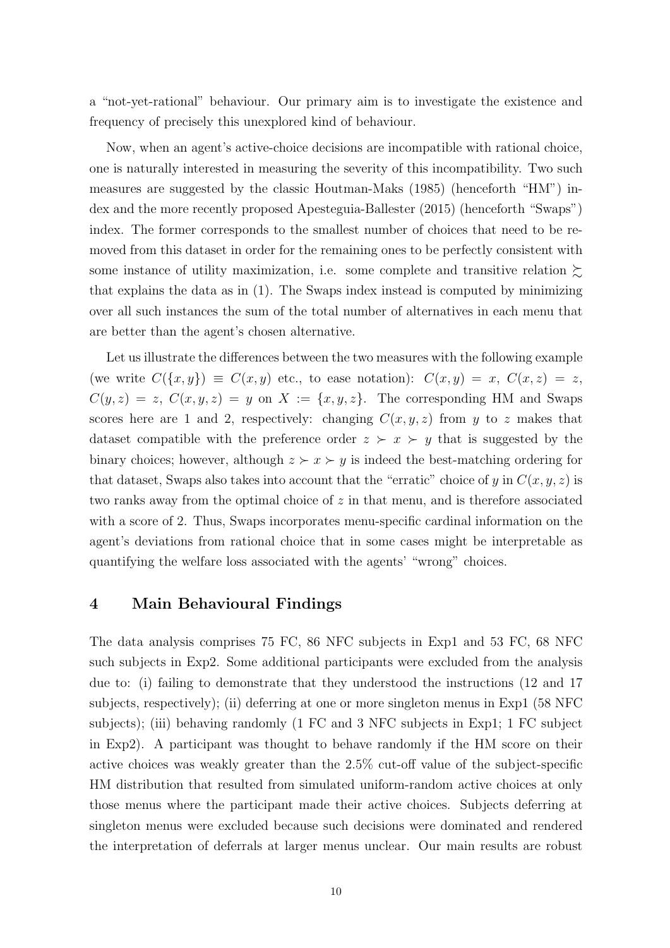a "not-yet-rational" behaviour. Our primary aim is to investigate the existence and frequency of precisely this unexplored kind of behaviour.

Now, when an agent's active-choice decisions are incompatible with rational choice, one is naturally interested in measuring the severity of this incompatibility. Two such measures are suggested by the classic Houtman-Maks [\(1985\)](#page-24-10) (henceforth "HM") index and the more recently proposed Apesteguia-Ballester [\(2015\)](#page-23-11) (henceforth "Swaps") index. The former corresponds to the smallest number of choices that need to be removed from this dataset in order for the remaining ones to be perfectly consistent with some instance of utility maximization, i.e. some complete and transitive relation  $\succsim$ that explains the data as in [\(1\)](#page-9-0). The Swaps index instead is computed by minimizing over all such instances the sum of the total number of alternatives in each menu that are better than the agent's chosen alternative.

Let us illustrate the differences between the two measures with the following example (we write  $C({x,y}) \equiv C(x,y)$  etc., to ease notation):  $C(x,y) = x, C(x,z) = z$ ,  $C(y, z) = z$ ,  $C(x, y, z) = y$  on  $X := \{x, y, z\}$ . The corresponding HM and Swaps scores here are 1 and 2, respectively: changing  $C(x, y, z)$  from y to z makes that dataset compatible with the preference order  $z \succ x \succ y$  that is suggested by the binary choices; however, although  $z \succ x \succ y$  is indeed the best-matching ordering for that dataset, Swaps also takes into account that the "erratic" choice of y in  $C(x, y, z)$  is two ranks away from the optimal choice of z in that menu, and is therefore associated with a score of 2. Thus, Swaps incorporates menu-specific cardinal information on the agent's deviations from rational choice that in some cases might be interpretable as quantifying the welfare loss associated with the agents' "wrong" choices.

# 4 Main Behavioural Findings

The data analysis comprises 75 FC, 86 NFC subjects in Exp1 and 53 FC, 68 NFC such subjects in Exp2. Some additional participants were excluded from the analysis due to: (i) failing to demonstrate that they understood the instructions (12 and 17 subjects, respectively); (ii) deferring at one or more singleton menus in Exp1 (58 NFC subjects); (iii) behaving randomly (1 FC and 3 NFC subjects in Exp1; 1 FC subject in Exp2). A participant was thought to behave randomly if the HM score on their active choices was weakly greater than the 2.5% cut-off value of the subject-specific HM distribution that resulted from simulated uniform-random active choices at only those menus where the participant made their active choices. Subjects deferring at singleton menus were excluded because such decisions were dominated and rendered the interpretation of deferrals at larger menus unclear. Our main results are robust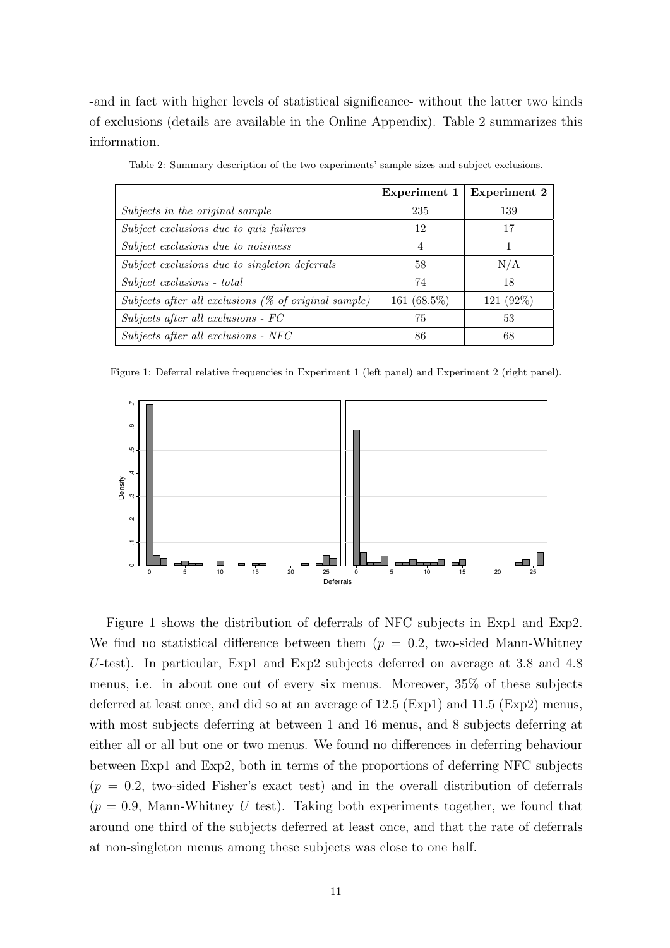-and in fact with higher levels of statistical significance- without the latter two kinds of exclusions (details are available in the Online Appendix). Table [2](#page-11-0) summarizes this information.

<span id="page-11-0"></span>

|                                                      | Experiment 1   | <b>Experiment 2</b> |
|------------------------------------------------------|----------------|---------------------|
| Subjects in the original sample                      | 235            | 139                 |
| Subject exclusions due to quiz failures              | 12             | 17                  |
| Subject exclusions due to noisiness                  | 4              |                     |
| Subject exclusions due to singleton deferrals        | 58             | N/A                 |
| Subject exclusions - total                           | 74             | 18                  |
| Subjects after all exclusions (% of original sample) | 161 $(68.5\%)$ | 121 (92%)           |
| Subjects after all exclusions - FC                   | 75             | 53                  |
| Subjects after all exclusions - NFC                  | 86             | 68                  |

Table 2: Summary description of the two experiments' sample sizes and subject exclusions.

<span id="page-11-1"></span>Figure 1: Deferral relative frequencies in Experiment 1 (left panel) and Experiment 2 (right panel).



Figure [1](#page-11-1) shows the distribution of deferrals of NFC subjects in Exp1 and Exp2. We find no statistical difference between them  $(p = 0.2,$  two-sided Mann-Whitney U-test). In particular, Exp1 and Exp2 subjects deferred on average at 3.8 and 4.8 menus, i.e. in about one out of every six menus. Moreover, 35% of these subjects deferred at least once, and did so at an average of 12.5 (Exp1) and 11.5 (Exp2) menus, with most subjects deferring at between 1 and 16 menus, and 8 subjects deferring at either all or all but one or two menus. We found no differences in deferring behaviour between Exp1 and Exp2, both in terms of the proportions of deferring NFC subjects  $(p = 0.2,$  two-sided Fisher's exact test) and in the overall distribution of deferrals  $(p = 0.9, \text{ Mann-Whitney } U \text{ test})$ . Taking both experiments together, we found that around one third of the subjects deferred at least once, and that the rate of deferrals at non-singleton menus among these subjects was close to one half.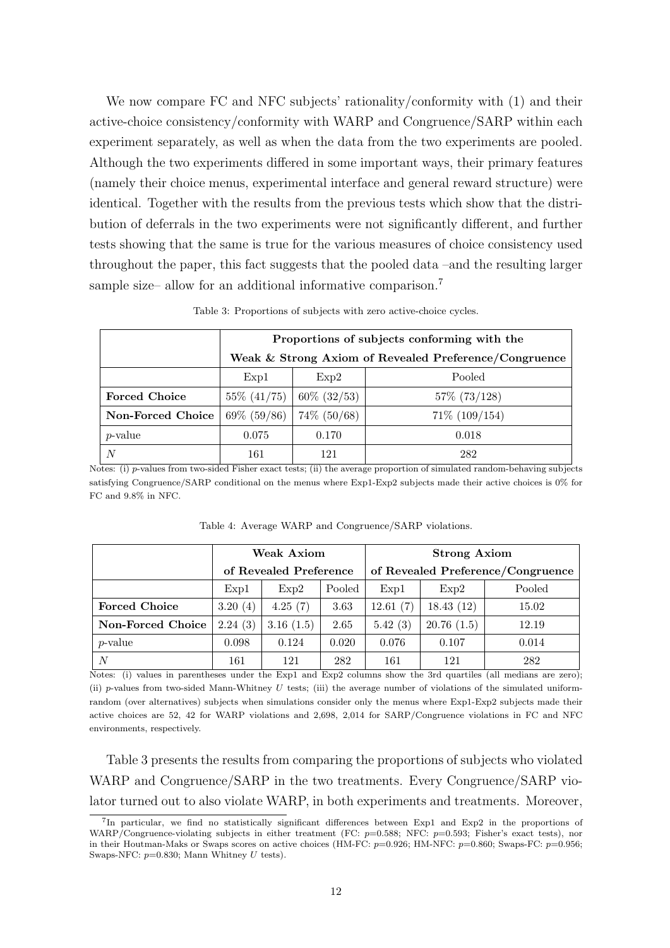We now compare FC and NFC subjects' rationality/conformity with  $(1)$  and their active-choice consistency/conformity with WARP and Congruence/SARP within each experiment separately, as well as when the data from the two experiments are pooled. Although the two experiments differed in some important ways, their primary features (namely their choice menus, experimental interface and general reward structure) were identical. Together with the results from the previous tests which show that the distribution of deferrals in the two experiments were not significantly different, and further tests showing that the same is true for the various measures of choice consistency used throughout the paper, this fact suggests that the pooled data –and the resulting larger sample size– allow for an additional informative comparison.<sup>[7](#page-12-0)</sup>

<span id="page-12-1"></span>

|                      | Proportions of subjects conforming with the           |                |                    |  |  |  |  |
|----------------------|-------------------------------------------------------|----------------|--------------------|--|--|--|--|
|                      | Weak & Strong Axiom of Revealed Preference/Congruence |                |                    |  |  |  |  |
|                      | Pooled<br>Exp1<br>Exp2                                |                |                    |  |  |  |  |
| <b>Forced Choice</b> | $55\%$ $(41/75)$                                      | $60\%$ (32/53) | 57\% (73/128)      |  |  |  |  |
| Non-Forced Choice    | $69\%$ (59/86)                                        | $74\%$ (50/68) | $71\%$ $(109/154)$ |  |  |  |  |
| $p$ -value           | 0.075                                                 | 0.170          | 0.018              |  |  |  |  |
| N                    | 161                                                   | 121            | 282                |  |  |  |  |

Table 3: Proportions of subjects with zero active-choice cycles.

Notes: (i) p-values from two-sided Fisher exact tests; (ii) the average proportion of simulated random-behaving subjects satisfying Congruence/SARP conditional on the menus where Exp1-Exp2 subjects made their active choices is 0% for FC and 9.8% in NFC.

<span id="page-12-2"></span>

|                      |                        | Weak Axiom             |       | <b>Strong Axiom</b>               |            |        |  |
|----------------------|------------------------|------------------------|-------|-----------------------------------|------------|--------|--|
|                      |                        | of Revealed Preference |       | of Revealed Preference/Congruence |            |        |  |
|                      | Pooled<br>Exp2<br>Exp1 |                        |       | Exp1                              | Exp2       | Pooled |  |
| <b>Forced Choice</b> | 3.20(4)                | 4.25(7)                | 3.63  | 12.61(7)                          | 18.43(12)  | 15.02  |  |
| Non-Forced Choice    | 2.24(3)                | 3.16(1.5)              | 2.65  | 5.42(3)                           | 20.76(1.5) | 12.19  |  |
| $p$ -value           | 0.098                  | 0.124                  | 0.020 | 0.076                             | 0.107      | 0.014  |  |
| N                    | 161                    | 121                    | 282   | 161                               | 121        | 282    |  |

Table 4: Average WARP and Congruence/SARP violations.

Notes: (i) values in parentheses under the Exp1 and Exp2 columns show the 3rd quartiles (all medians are zero); (ii) p-values from two-sided Mann-Whitney  $U$  tests; (iii) the average number of violations of the simulated uniformrandom (over alternatives) subjects when simulations consider only the menus where Exp1-Exp2 subjects made their active choices are 52, 42 for WARP violations and 2,698, 2,014 for SARP/Congruence violations in FC and NFC environments, respectively.

Table [3](#page-12-1) presents the results from comparing the proportions of subjects who violated WARP and Congruence/SARP in the two treatments. Every Congruence/SARP violator turned out to also violate WARP, in both experiments and treatments. Moreover,

<span id="page-12-0"></span><sup>7</sup> In particular, we find no statistically significant differences between Exp1 and Exp2 in the proportions of WARP/Congruence-violating subjects in either treatment (FC:  $p=0.588$ ; NFC:  $p=0.593$ ; Fisher's exact tests), nor in their Houtman-Maks or Swaps scores on active choices (HM-FC:  $p=0.926$ ; HM-NFC:  $p=0.860$ ; Swaps-FC:  $p=0.956$ ; Swaps-NFC:  $p=0.830$ ; Mann Whitney U tests).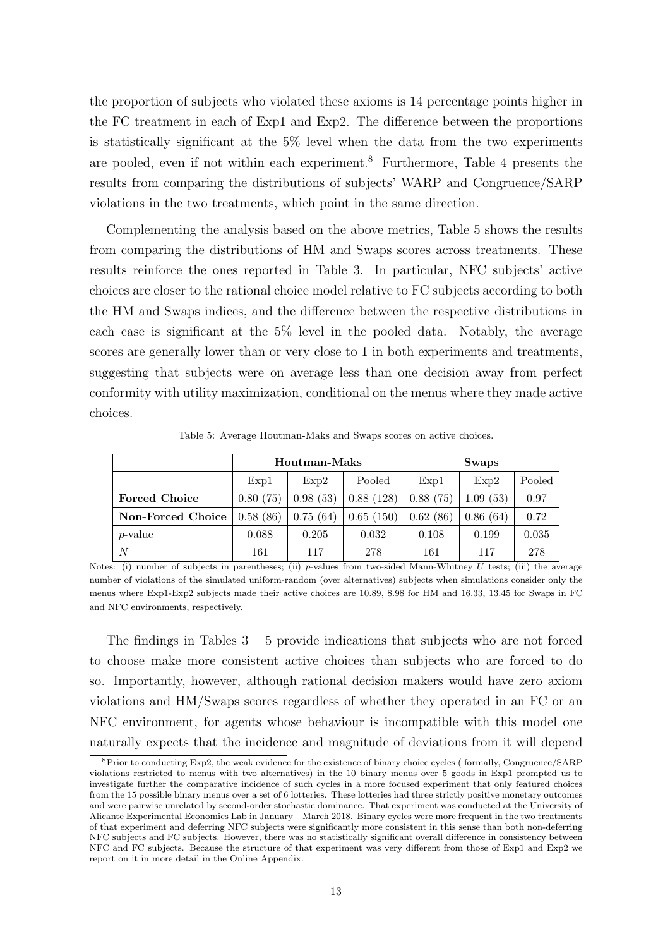the proportion of subjects who violated these axioms is 14 percentage points higher in the FC treatment in each of Exp1 and Exp2. The difference between the proportions is statistically significant at the 5% level when the data from the two experiments are pooled, even if not within each experiment.[8](#page-13-0) Furthermore, Table [4](#page-12-2) presents the results from comparing the distributions of subjects' WARP and Congruence/SARP violations in the two treatments, which point in the same direction.

Complementing the analysis based on the above metrics, Table [5](#page-13-1) shows the results from comparing the distributions of HM and Swaps scores across treatments. These results reinforce the ones reported in Table [3.](#page-12-1) In particular, NFC subjects' active choices are closer to the rational choice model relative to FC subjects according to both the HM and Swaps indices, and the difference between the respective distributions in each case is significant at the 5% level in the pooled data. Notably, the average scores are generally lower than or very close to 1 in both experiments and treatments, suggesting that subjects were on average less than one decision away from perfect conformity with utility maximization, conditional on the menus where they made active choices.

<span id="page-13-1"></span>

|                      |          | Houtman-Maks   |           | <b>Swaps</b> |              |        |  |
|----------------------|----------|----------------|-----------|--------------|--------------|--------|--|
|                      | Exp1     | Pooled<br>Exp2 |           | Exp1         | Exp2         | Pooled |  |
| <b>Forced Choice</b> | 0.80(75) | 0.98(53)       | 0.88(128) | 0.88(75)     | (53)<br>1.09 | 0.97   |  |
| Non-Forced Choice    | 0.58(86) | 0.75(64)       | 0.65(150) | 0.62(86)     | 0.86(64)     | 0.72   |  |
| $p$ -value           | 0.088    | 0.205          | 0.032     | 0.108        | 0.199        | 0.035  |  |
| N                    | 161      | 117            | 278       | 161          | 117          | 278    |  |

Table 5: Average Houtman-Maks and Swaps scores on active choices.

Notes: (i) number of subjects in parentheses; (ii) p-values from two-sided Mann-Whitney  $U$  tests; (iii) the average number of violations of the simulated uniform-random (over alternatives) subjects when simulations consider only the menus where Exp1-Exp2 subjects made their active choices are 10.89, 8.98 for HM and 16.33, 13.45 for Swaps in FC and NFC environments, respectively.

The findings in Tables  $3 - 5$  $3 - 5$  provide indications that subjects who are not forced to choose make more consistent active choices than subjects who are forced to do so. Importantly, however, although rational decision makers would have zero axiom violations and HM/Swaps scores regardless of whether they operated in an FC or an NFC environment, for agents whose behaviour is incompatible with this model one naturally expects that the incidence and magnitude of deviations from it will depend

<span id="page-13-0"></span><sup>8</sup>Prior to conducting Exp2, the weak evidence for the existence of binary choice cycles ( formally, Congruence/SARP violations restricted to menus with two alternatives) in the 10 binary menus over 5 goods in Exp1 prompted us to investigate further the comparative incidence of such cycles in a more focused experiment that only featured choices from the 15 possible binary menus over a set of 6 lotteries. These lotteries had three strictly positive monetary outcomes and were pairwise unrelated by second-order stochastic dominance. That experiment was conducted at the University of Alicante Experimental Economics Lab in January – March 2018. Binary cycles were more frequent in the two treatments of that experiment and deferring NFC subjects were significantly more consistent in this sense than both non-deferring NFC subjects and FC subjects. However, there was no statistically significant overall difference in consistency between NFC and FC subjects. Because the structure of that experiment was very different from those of Exp1 and Exp2 we report on it in more detail in the Online Appendix.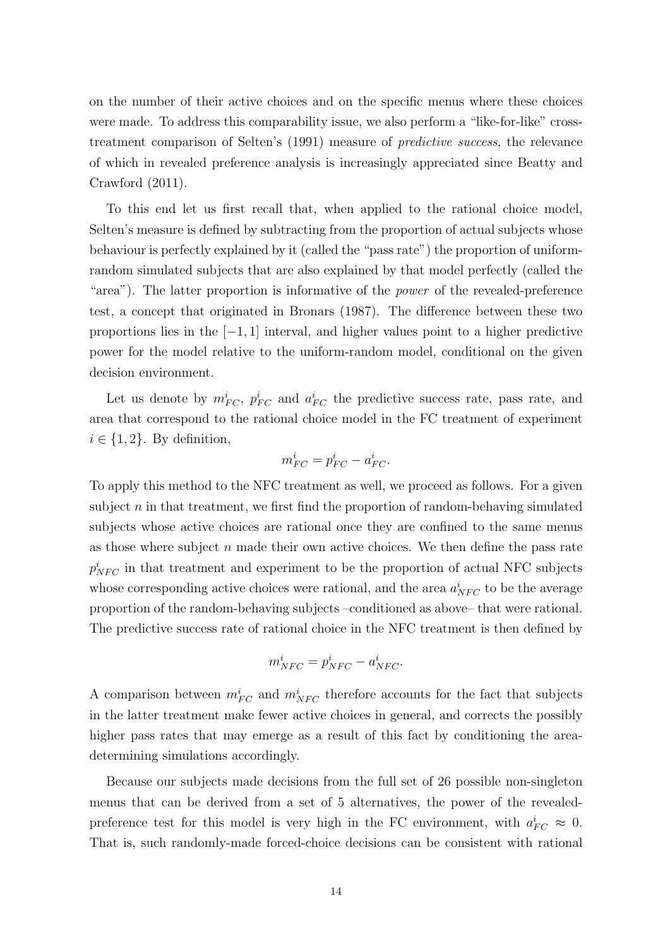on the number of their active choices and on the specific menus where these choices were made. To address this comparability issue, we also perform a "like-for-like" crosstreatment comparison of Selten's [\(1991\)](#page-24-11) measure of predictive success, the relevance of which in revealed preference analysis is increasingly appreciated since [Beatty and](#page-23-12) [Crawford](#page-23-12) [\(2011\)](#page-23-12).

To this end let us first recall that, when applied to the rational choice model, Selten's measure is defined by subtracting from the proportion of actual subjects whose behaviour is perfectly explained by it (called the "pass rate") the proportion of uniformrandom simulated subjects that are also explained by that model perfectly (called the "area"). The latter proportion is informative of the power of the revealed-preference test, a concept that originated in [Bronars](#page-23-13) [\(1987\)](#page-23-13). The difference between these two proportions lies in the  $[-1, 1]$  interval, and higher values point to a higher predictive power for the model relative to the uniform-random model, conditional on the given decision environment.

Let us denote by  $m_{FC}^i$ ,  $p_{FC}^i$  and  $a_{FC}^i$  the predictive success rate, pass rate, and area that correspond to the rational choice model in the FC treatment of experiment  $i \in \{1, 2\}$ . By definition,

$$
m_{FC}^i = p_{FC}^i - a_{FC}^i.
$$

To apply this method to the NFC treatment as well, we proceed as follows. For a given subject  $n$  in that treatment, we first find the proportion of random-behaving simulated subjects whose active choices are rational once they are confined to the same menus as those where subject  $n$  made their own active choices. We then define the pass rate  $p_{NFC}^i$  in that treatment and experiment to be the proportion of actual NFC subjects whose corresponding active choices were rational, and the area  $a_{NFC}^i$  to be the average proportion of the random-behaving subjects –conditioned as above– that were rational. The predictive success rate of rational choice in the NFC treatment is then defined by

$$
m_{NFC}^i = p_{NFC}^i - a_{NFC}^i.
$$

A comparison between  $m_{FC}^i$  and  $m_{NFC}^i$  therefore accounts for the fact that subjects in the latter treatment make fewer active choices in general, and corrects the possibly higher pass rates that may emerge as a result of this fact by conditioning the areadetermining simulations accordingly.

Because our subjects made decisions from the full set of 26 possible non-singleton menus that can be derived from a set of 5 alternatives, the power of the revealedpreference test for this model is very high in the FC environment, with  $a_{FC}^i \approx 0$ . That is, such randomly-made forced-choice decisions can be consistent with rational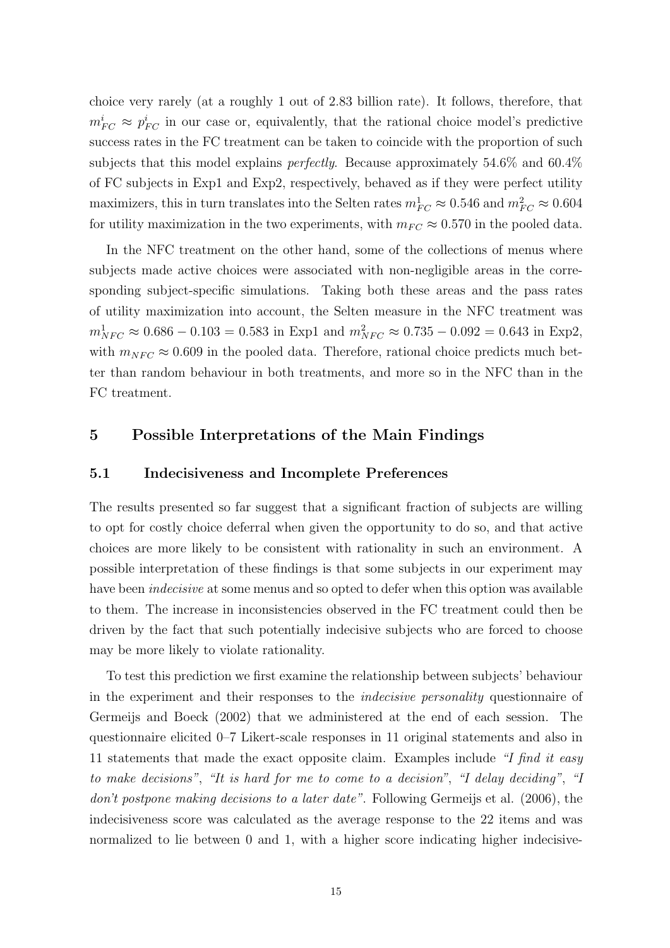choice very rarely (at a roughly 1 out of 2.83 billion rate). It follows, therefore, that  $m_{FC}^i \approx p_{FC}^i$  in our case or, equivalently, that the rational choice model's predictive success rates in the FC treatment can be taken to coincide with the proportion of such subjects that this model explains perfectly. Because approximately 54.6% and 60.4% of FC subjects in Exp1 and Exp2, respectively, behaved as if they were perfect utility maximizers, this in turn translates into the Selten rates  $m_{FC}^1 \approx 0.546$  and  $m_{FC}^2 \approx 0.604$ for utility maximization in the two experiments, with  $m_{FC} \approx 0.570$  in the pooled data.

In the NFC treatment on the other hand, some of the collections of menus where subjects made active choices were associated with non-negligible areas in the corresponding subject-specific simulations. Taking both these areas and the pass rates of utility maximization into account, the Selten measure in the NFC treatment was  $m_{NFC}^1 \approx 0.686 - 0.103 = 0.583$  in Exp1 and  $m_{NFC}^2 \approx 0.735 - 0.092 = 0.643$  in Exp2, with  $m_{NFC} \approx 0.609$  in the pooled data. Therefore, rational choice predicts much better than random behaviour in both treatments, and more so in the NFC than in the FC treatment.

## 5 Possible Interpretations of the Main Findings

#### 5.1 Indecisiveness and Incomplete Preferences

The results presented so far suggest that a significant fraction of subjects are willing to opt for costly choice deferral when given the opportunity to do so, and that active choices are more likely to be consistent with rationality in such an environment. A possible interpretation of these findings is that some subjects in our experiment may have been *indecisive* at some menus and so opted to defer when this option was available to them. The increase in inconsistencies observed in the FC treatment could then be driven by the fact that such potentially indecisive subjects who are forced to choose may be more likely to violate rationality.

To test this prediction we first examine the relationship between subjects' behaviour in the experiment and their responses to the indecisive personality questionnaire of [Germeijs and Boeck](#page-24-4) [\(2002\)](#page-24-4) that we administered at the end of each session. The questionnaire elicited 0–7 Likert-scale responses in 11 original statements and also in 11 statements that made the exact opposite claim. Examples include "I find it easy to make decisions", "It is hard for me to come to a decision", "I delay deciding", "I don't postpone making decisions to a later date". Following Germeijs et al. [\(2006\)](#page-24-12), the indecisiveness score was calculated as the average response to the 22 items and was normalized to lie between 0 and 1, with a higher score indicating higher indecisive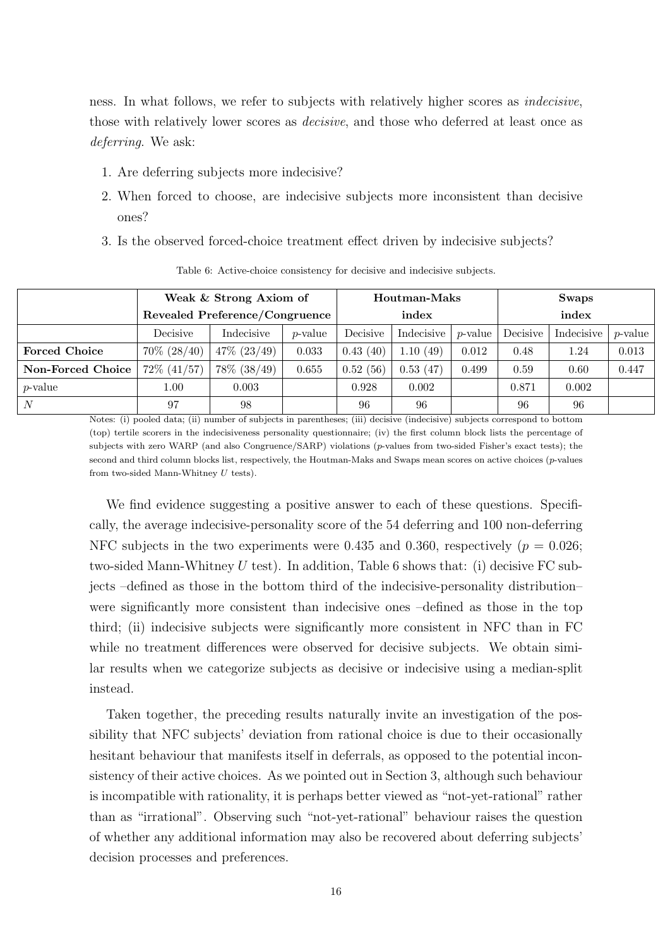ness. In what follows, we refer to subjects with relatively higher scores as indecisive, those with relatively lower scores as decisive, and those who deferred at least once as deferring. We ask:

- 1. Are deferring subjects more indecisive?
- 2. When forced to choose, are indecisive subjects more inconsistent than decisive ones?
- <span id="page-16-0"></span>3. Is the observed forced-choice treatment effect driven by indecisive subjects?

|                      | Weak & Strong Axiom of         |                |                 | Houtman-Maks |            |                 | Swaps    |            |                 |
|----------------------|--------------------------------|----------------|-----------------|--------------|------------|-----------------|----------|------------|-----------------|
|                      | Revealed Preference/Congruence |                |                 | index        |            |                 | index    |            |                 |
|                      | Decisive                       | Indecisive     | <i>p</i> -value | Decisive     | Indecisive | <i>p</i> -value | Decisive | Indecisive | <i>p</i> -value |
| <b>Forced Choice</b> | $70\% (28/40)$                 | $47\% (23/49)$ | 0.033           | 0.43(40)     | 1.10(49)   | 0.012           | 0.48     | 1.24       | 0.013           |
| Non-Forced Choice    | $72\%$ $(41/57)$               | 78\% (38/49)   | 0.655           | 0.52(56)     | 0.53(47)   | 0.499           | 0.59     | 0.60       | 0.447           |
| <i>p</i> -value      | 1.00                           | 0.003          |                 | 0.928        | 0.002      |                 | 0.871    | 0.002      |                 |
| N                    | 97                             | 98             |                 | 96           | 96         |                 | 96       | 96         |                 |

Table 6: Active-choice consistency for decisive and indecisive subjects.

Notes: (i) pooled data; (ii) number of subjects in parentheses; (iii) decisive (indecisive) subjects correspond to bottom (top) tertile scorers in the indecisiveness personality questionnaire; (iv) the first column block lists the percentage of subjects with zero WARP (and also Congruence/SARP) violations (p-values from two-sided Fisher's exact tests); the second and third column blocks list, respectively, the Houtman-Maks and Swaps mean scores on active choices  $(p$ -values from two-sided Mann-Whitney  $U$  tests).

We find evidence suggesting a positive answer to each of these questions. Specifically, the average indecisive-personality score of the 54 deferring and 100 non-deferring NFC subjects in the two experiments were 0.435 and 0.360, respectively ( $p = 0.026$ ; two-sided Mann-Whitney  $U$  test). In addition, Table [6](#page-16-0) shows that: (i) decisive FC subjects –defined as those in the bottom third of the indecisive-personality distribution– were significantly more consistent than indecisive ones –defined as those in the top third; (ii) indecisive subjects were significantly more consistent in NFC than in FC while no treatment differences were observed for decisive subjects. We obtain similar results when we categorize subjects as decisive or indecisive using a median-split instead.

Taken together, the preceding results naturally invite an investigation of the possibility that NFC subjects' deviation from rational choice is due to their occasionally hesitant behaviour that manifests itself in deferrals, as opposed to the potential inconsistency of their active choices. As we pointed out in Section 3, although such behaviour is incompatible with rationality, it is perhaps better viewed as "not-yet-rational" rather than as "irrational". Observing such "not-yet-rational" behaviour raises the question of whether any additional information may also be recovered about deferring subjects' decision processes and preferences.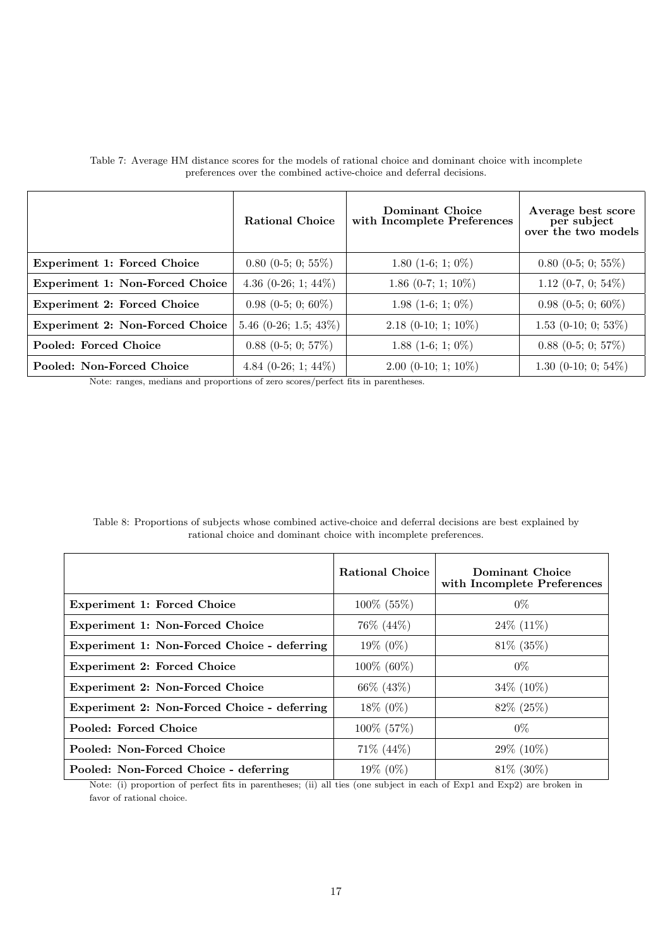|                                        | <b>Rational Choice</b>   | Dominant Choice<br>with Incomplete Preferences | Average best score<br>per subject<br>over the two models |
|----------------------------------------|--------------------------|------------------------------------------------|----------------------------------------------------------|
| <b>Experiment 1: Forced Choice</b>     | $0.80$ (0-5; 0; 55%)     | 1.80 $(1-6; 1; 0\%)$                           | $0.80$ (0-5; 0; 55%)                                     |
| <b>Experiment 1: Non-Forced Choice</b> | 4.36 $(0-26; 1; 44\%)$   | 1.86 $(0-7; 1; 10\%)$                          | 1.12 (0-7, 0; 54%)                                       |
| <b>Experiment 2: Forced Choice</b>     | $0.98$ (0-5; 0; 60%)     | 1.98 (1-6; 1; $0\%$ )                          | $0.98$ (0-5; 0; 60%)                                     |
| Experiment 2: Non-Forced Choice        | 5.46 $(0-26; 1.5; 43\%)$ | $2.18$ (0-10; 1; 10%)                          | 1.53 (0-10; 0; 53%)                                      |
| Pooled: Forced Choice                  | $0.88$ (0-5; 0; 57%)     | 1.88 $(1-6; 1; 0\%)$                           | $0.88$ (0-5; 0; 57%)                                     |
| Pooled: Non-Forced Choice              | 4.84 $(0-26; 1; 44\%)$   | $2.00$ (0-10; 1; 10%)                          | 1.30 (0-10; 0; 54\%)                                     |

<span id="page-17-0"></span>Table 7: Average HM distance scores for the models of rational choice and dominant choice with incomplete preferences over the combined active-choice and deferral decisions.

Note: ranges, medians and proportions of zero scores/perfect fits in parentheses.

<span id="page-17-1"></span>Table 8: Proportions of subjects whose combined active-choice and deferral decisions are best explained by rational choice and dominant choice with incomplete preferences.

|                                             | <b>Rational Choice</b> | Dominant Choice<br>with Incomplete Preferences |
|---------------------------------------------|------------------------|------------------------------------------------|
| <b>Experiment 1: Forced Choice</b>          | $100\%$ (55%)          | $0\%$                                          |
| <b>Experiment 1: Non-Forced Choice</b>      | 76\% (44\%)            | $24\%$ (11%)                                   |
| Experiment 1: Non-Forced Choice - deferring | 19% (0%)               | $81\%$ (35%)                                   |
| <b>Experiment 2: Forced Choice</b>          | 100\% (60\%)           | $0\%$                                          |
| <b>Experiment 2: Non-Forced Choice</b>      | 66\% (43\%)            | $34\%$ (10%)                                   |
| Experiment 2: Non-Forced Choice - deferring | $18\% (0\%)$           | $82\% (25\%)$                                  |
| Pooled: Forced Choice                       | 100\% (57\%)           | $0\%$                                          |
| Pooled: Non-Forced Choice                   | $71\% (44\%)$          | $29\%$ (10%)                                   |
| Pooled: Non-Forced Choice - deferring       | 19% (0%)               | 81\% (30\%)                                    |

Note: (i) proportion of perfect fits in parentheses; (ii) all ties (one subject in each of Exp1 and Exp2) are broken in favor of rational choice.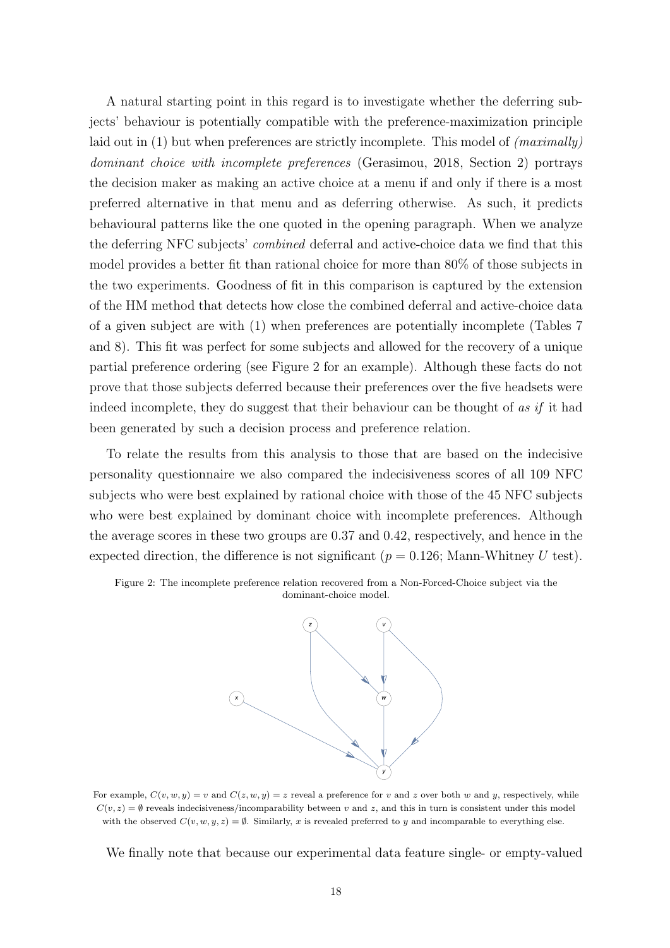A natural starting point in this regard is to investigate whether the deferring subjects' behaviour is potentially compatible with the preference-maximization principle laid out in  $(1)$  but when preferences are strictly incomplete. This model of  $(maximally)$ dominant choice with incomplete preferences [\(Gerasimou, 2018,](#page-24-3) Section 2) portrays the decision maker as making an active choice at a menu if and only if there is a most preferred alternative in that menu and as deferring otherwise. As such, it predicts behavioural patterns like the one quoted in the opening paragraph. When we analyze the deferring NFC subjects' combined deferral and active-choice data we find that this model provides a better fit than rational choice for more than 80% of those subjects in the two experiments. Goodness of fit in this comparison is captured by the extension of the HM method that detects how close the combined deferral and active-choice data of a given subject are with [\(1\)](#page-9-0) when preferences are potentially incomplete (Tables [7](#page-17-0) and [8\)](#page-17-1). This fit was perfect for some subjects and allowed for the recovery of a unique partial preference ordering (see Figure [2](#page-18-0) for an example). Although these facts do not prove that those subjects deferred because their preferences over the five headsets were indeed incomplete, they do suggest that their behaviour can be thought of as if it had been generated by such a decision process and preference relation.

To relate the results from this analysis to those that are based on the indecisive personality questionnaire we also compared the indecisiveness scores of all 109 NFC subjects who were best explained by rational choice with those of the 45 NFC subjects who were best explained by dominant choice with incomplete preferences. Although the average scores in these two groups are 0.37 and 0.42, respectively, and hence in the expected direction, the difference is not significant ( $p = 0.126$ ; Mann-Whitney U test).

<span id="page-18-0"></span>



For example,  $C(v, w, y) = v$  and  $C(z, w, y) = z$  reveal a preference for v and z over both w and y, respectively, while  $C(v, z) = \emptyset$  reveals indecisiveness/incomparability between v and z, and this in turn is consistent under this model with the observed  $C(v, w, y, z) = \emptyset$ . Similarly, x is revealed preferred to y and incomparable to everything else.

We finally note that because our experimental data feature single- or empty-valued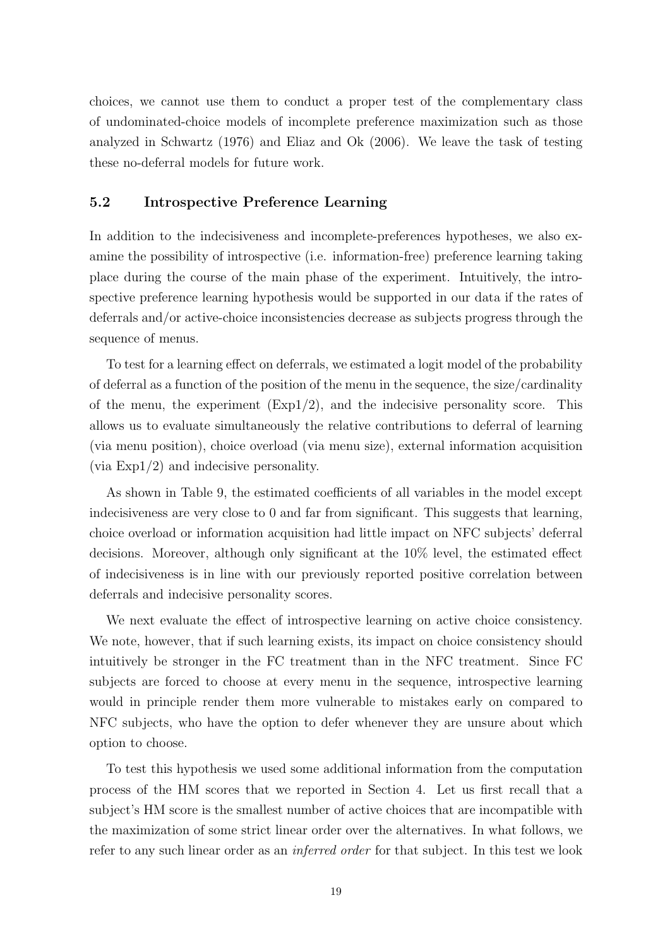choices, we cannot use them to conduct a proper test of the complementary class of undominated-choice models of incomplete preference maximization such as those analyzed in [Schwartz](#page-24-13) [\(1976\)](#page-24-13) and [Eliaz and Ok](#page-23-14) [\(2006\)](#page-23-14). We leave the task of testing these no-deferral models for future work.

# 5.2 Introspective Preference Learning

In addition to the indecisiveness and incomplete-preferences hypotheses, we also examine the possibility of introspective (i.e. information-free) preference learning taking place during the course of the main phase of the experiment. Intuitively, the introspective preference learning hypothesis would be supported in our data if the rates of deferrals and/or active-choice inconsistencies decrease as subjects progress through the sequence of menus.

To test for a learning effect on deferrals, we estimated a logit model of the probability of deferral as a function of the position of the menu in the sequence, the size/cardinality of the menu, the experiment  $(Exp1/2)$ , and the indecisive personality score. This allows us to evaluate simultaneously the relative contributions to deferral of learning (via menu position), choice overload (via menu size), external information acquisition (via Exp1/2) and indecisive personality.

As shown in Table 9, the estimated coefficients of all variables in the model except indecisiveness are very close to 0 and far from significant. This suggests that learning, choice overload or information acquisition had little impact on NFC subjects' deferral decisions. Moreover, although only significant at the 10% level, the estimated effect of indecisiveness is in line with our previously reported positive correlation between deferrals and indecisive personality scores.

We next evaluate the effect of introspective learning on active choice consistency. We note, however, that if such learning exists, its impact on choice consistency should intuitively be stronger in the FC treatment than in the NFC treatment. Since FC subjects are forced to choose at every menu in the sequence, introspective learning would in principle render them more vulnerable to mistakes early on compared to NFC subjects, who have the option to defer whenever they are unsure about which option to choose.

To test this hypothesis we used some additional information from the computation process of the HM scores that we reported in Section 4. Let us first recall that a subject's HM score is the smallest number of active choices that are incompatible with the maximization of some strict linear order over the alternatives. In what follows, we refer to any such linear order as an *inferred order* for that subject. In this test we look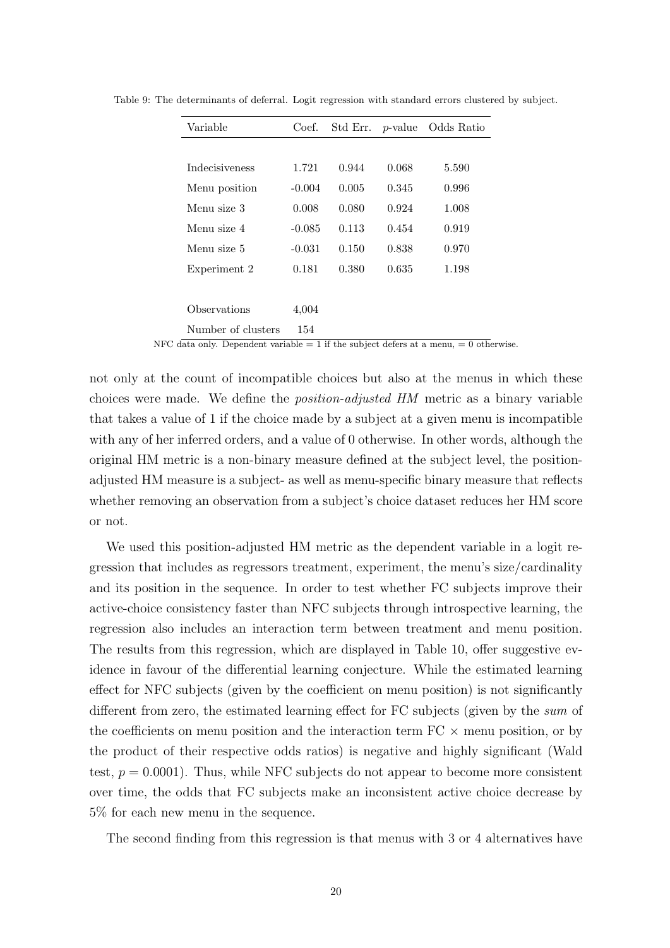| Variable              | Coef.    | Std Err. | $p$ -value | Odds Ratio |
|-----------------------|----------|----------|------------|------------|
|                       |          |          |            |            |
| <i>Indecisiveness</i> | 1.721    | 0.944    | 0.068      | 5.590      |
| Menu position         | $-0.004$ | 0.005    | 0.345      | 0.996      |
| Menu size 3           | 0.008    | 0.080    | 0.924      | 1.008      |
| Menu size 4           | $-0.085$ | 0.113    | 0.454      | 0.919      |
| Menu size 5           | $-0.031$ | 0.150    | 0.838      | 0.970      |
| Experiment 2          | 0.181    | 0.380    | 0.635      | 1.198      |
|                       |          |          |            |            |
| Observations          | 4,004    |          |            |            |
| Number of clusters    | 154      |          |            |            |

Table 9: The determinants of deferral. Logit regression with standard errors clustered by subject.

NFC data only. Dependent variable  $= 1$  if the subject defers at a menu,  $= 0$  otherwise.

not only at the count of incompatible choices but also at the menus in which these choices were made. We define the position-adjusted HM metric as a binary variable that takes a value of 1 if the choice made by a subject at a given menu is incompatible with any of her inferred orders, and a value of 0 otherwise. In other words, although the original HM metric is a non-binary measure defined at the subject level, the positionadjusted HM measure is a subject- as well as menu-specific binary measure that reflects whether removing an observation from a subject's choice dataset reduces her HM score or not.

We used this position-adjusted HM metric as the dependent variable in a logit regression that includes as regressors treatment, experiment, the menu's size/cardinality and its position in the sequence. In order to test whether FC subjects improve their active-choice consistency faster than NFC subjects through introspective learning, the regression also includes an interaction term between treatment and menu position. The results from this regression, which are displayed in Table 10, offer suggestive evidence in favour of the differential learning conjecture. While the estimated learning effect for NFC subjects (given by the coefficient on menu position) is not significantly different from zero, the estimated learning effect for FC subjects (given by the sum of the coefficients on menu position and the interaction term  $FC \times$  menu position, or by the product of their respective odds ratios) is negative and highly significant (Wald test,  $p = 0.0001$ . Thus, while NFC subjects do not appear to become more consistent over time, the odds that FC subjects make an inconsistent active choice decrease by 5% for each new menu in the sequence.

The second finding from this regression is that menus with 3 or 4 alternatives have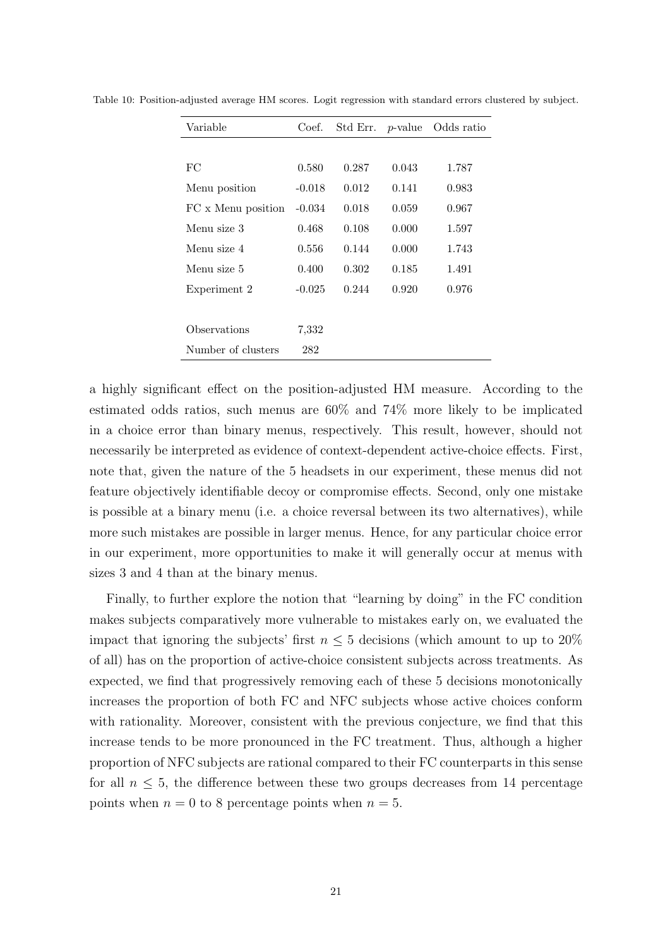| Variable           | Coef.    | Std Err. | $p$ -value | Odds ratio |
|--------------------|----------|----------|------------|------------|
|                    |          |          |            |            |
| FC                 | 0.580    | 0.287    | 0.043      | 1.787      |
| Menu position      | $-0.018$ | 0.012    | 0.141      | 0.983      |
| FC x Menu position | $-0.034$ | 0.018    | 0.059      | 0.967      |
| Menu size 3        | 0.468    | 0.108    | 0.000      | 1.597      |
| Menu size 4        | 0.556    | 0.144    | 0.000      | 1.743      |
| Menu size 5        | 0.400    | 0.302    | 0.185      | 1.491      |
| Experiment 2       | $-0.025$ | 0.244    | 0.920      | 0.976      |
|                    |          |          |            |            |
| Observations       | 7,332    |          |            |            |
| Number of clusters | 282      |          |            |            |

Table 10: Position-adjusted average HM scores. Logit regression with standard errors clustered by subject.

a highly significant effect on the position-adjusted HM measure. According to the estimated odds ratios, such menus are 60% and 74% more likely to be implicated in a choice error than binary menus, respectively. This result, however, should not necessarily be interpreted as evidence of context-dependent active-choice effects. First, note that, given the nature of the 5 headsets in our experiment, these menus did not feature objectively identifiable decoy or compromise effects. Second, only one mistake is possible at a binary menu (i.e. a choice reversal between its two alternatives), while more such mistakes are possible in larger menus. Hence, for any particular choice error in our experiment, more opportunities to make it will generally occur at menus with sizes 3 and 4 than at the binary menus.

Finally, to further explore the notion that "learning by doing" in the FC condition makes subjects comparatively more vulnerable to mistakes early on, we evaluated the impact that ignoring the subjects' first  $n \leq 5$  decisions (which amount to up to 20%) of all) has on the proportion of active-choice consistent subjects across treatments. As expected, we find that progressively removing each of these 5 decisions monotonically increases the proportion of both FC and NFC subjects whose active choices conform with rationality. Moreover, consistent with the previous conjecture, we find that this increase tends to be more pronounced in the FC treatment. Thus, although a higher proportion of NFC subjects are rational compared to their FC counterparts in this sense for all  $n \leq 5$ , the difference between these two groups decreases from 14 percentage points when  $n = 0$  to 8 percentage points when  $n = 5$ .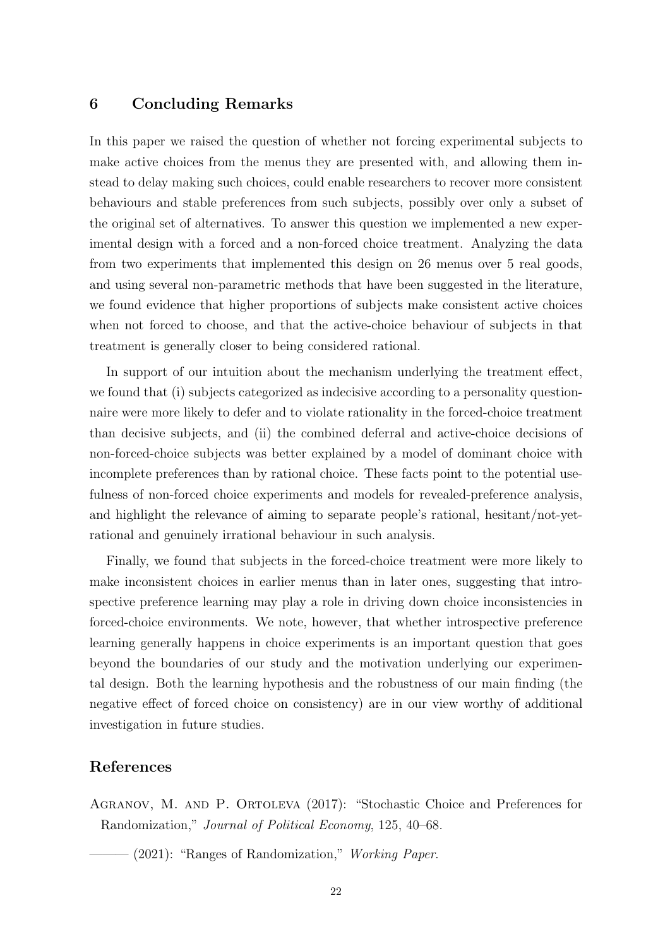# 6 Concluding Remarks

In this paper we raised the question of whether not forcing experimental subjects to make active choices from the menus they are presented with, and allowing them instead to delay making such choices, could enable researchers to recover more consistent behaviours and stable preferences from such subjects, possibly over only a subset of the original set of alternatives. To answer this question we implemented a new experimental design with a forced and a non-forced choice treatment. Analyzing the data from two experiments that implemented this design on 26 menus over 5 real goods, and using several non-parametric methods that have been suggested in the literature, we found evidence that higher proportions of subjects make consistent active choices when not forced to choose, and that the active-choice behaviour of subjects in that treatment is generally closer to being considered rational.

In support of our intuition about the mechanism underlying the treatment effect, we found that (i) subjects categorized as indecisive according to a personality questionnaire were more likely to defer and to violate rationality in the forced-choice treatment than decisive subjects, and (ii) the combined deferral and active-choice decisions of non-forced-choice subjects was better explained by a model of dominant choice with incomplete preferences than by rational choice. These facts point to the potential usefulness of non-forced choice experiments and models for revealed-preference analysis, and highlight the relevance of aiming to separate people's rational, hesitant/not-yetrational and genuinely irrational behaviour in such analysis.

Finally, we found that subjects in the forced-choice treatment were more likely to make inconsistent choices in earlier menus than in later ones, suggesting that introspective preference learning may play a role in driving down choice inconsistencies in forced-choice environments. We note, however, that whether introspective preference learning generally happens in choice experiments is an important question that goes beyond the boundaries of our study and the motivation underlying our experimental design. Both the learning hypothesis and the robustness of our main finding (the negative effect of forced choice on consistency) are in our view worthy of additional investigation in future studies.

# References

<span id="page-22-0"></span>Agranov, M. and P. Ortoleva (2017): "Stochastic Choice and Preferences for Randomization," Journal of Political Economy, 125, 40–68.

<span id="page-22-1"></span> $-$  (2021): "Ranges of Randomization," *Working Paper.*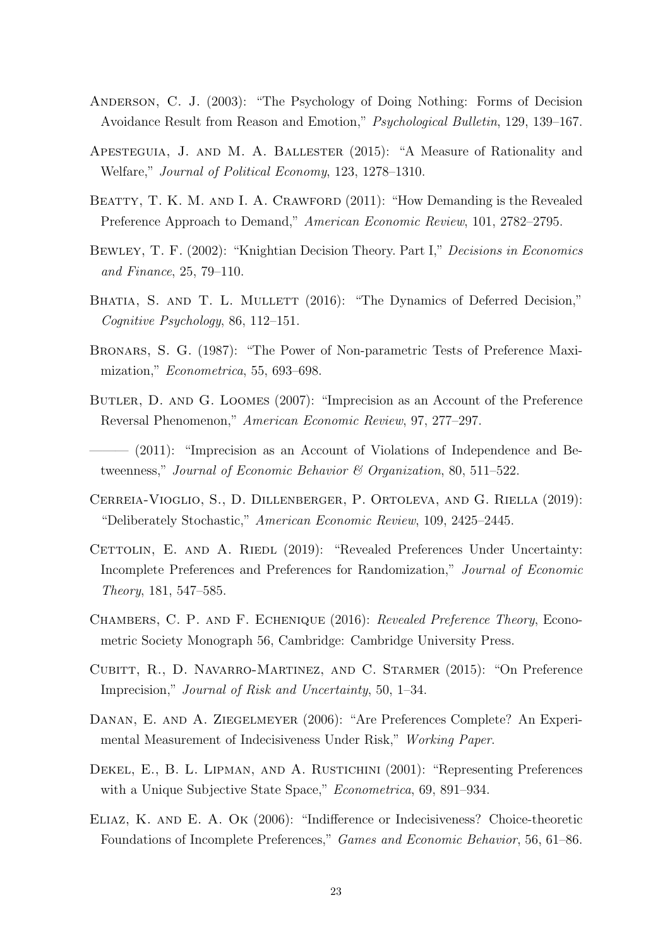- <span id="page-23-0"></span>Anderson, C. J. (2003): "The Psychology of Doing Nothing: Forms of Decision Avoidance Result from Reason and Emotion," Psychological Bulletin, 129, 139–167.
- <span id="page-23-11"></span>Apesteguia, J. and M. A. Ballester (2015): "A Measure of Rationality and Welfare," Journal of Political Economy, 123, 1278–1310.
- <span id="page-23-12"></span>BEATTY, T. K. M. AND I. A. CRAWFORD (2011): "How Demanding is the Revealed Preference Approach to Demand," American Economic Review, 101, 2782–2795.
- <span id="page-23-6"></span>Bewley, T. F. (2002): "Knightian Decision Theory. Part I," Decisions in Economics and Finance, 25, 79–110.
- <span id="page-23-1"></span>BHATIA, S. AND T. L. MULLETT (2016): "The Dynamics of Deferred Decision," Cognitive Psychology, 86, 112–151.
- <span id="page-23-13"></span>Bronars, S. G. (1987): "The Power of Non-parametric Tests of Preference Maximization," Econometrica, 55, 693–698.
- <span id="page-23-3"></span>BUTLER, D. AND G. LOOMES (2007): "Imprecision as an Account of the Preference Reversal Phenomenon," American Economic Review, 97, 277–297.
- <span id="page-23-4"></span>- (2011): "Imprecision as an Account of Violations of Independence and Betweenness," Journal of Economic Behavior & Organization, 80, 511–522.
- <span id="page-23-7"></span>Cerreia-Vioglio, S., D. Dillenberger, P. Ortoleva, and G. Riella (2019): "Deliberately Stochastic," American Economic Review, 109, 2425–2445.
- <span id="page-23-5"></span>CETTOLIN, E. AND A. RIEDL (2019): "Revealed Preferences Under Uncertainty: Incomplete Preferences and Preferences for Randomization," Journal of Economic Theory, 181, 547–585.
- <span id="page-23-10"></span>Chambers, C. P. and F. Echenique (2016): Revealed Preference Theory, Econometric Society Monograph 56, Cambridge: Cambridge University Press.
- <span id="page-23-2"></span>Cubitt, R., D. Navarro-Martinez, and C. Starmer (2015): "On Preference Imprecision," Journal of Risk and Uncertainty, 50, 1–34.
- <span id="page-23-8"></span>Danan, E. and A. Ziegelmeyer (2006): "Are Preferences Complete? An Experimental Measurement of Indecisiveness Under Risk," Working Paper.
- <span id="page-23-9"></span>DEKEL, E., B. L. LIPMAN, AND A. RUSTICHINI (2001): "Representing Preferences with a Unique Subjective State Space," *Econometrica*, 69, 891–934.
- <span id="page-23-14"></span>Eliaz, K. and E. A. Ok (2006): "Indifference or Indecisiveness? Choice-theoretic Foundations of Incomplete Preferences," Games and Economic Behavior, 56, 61–86.